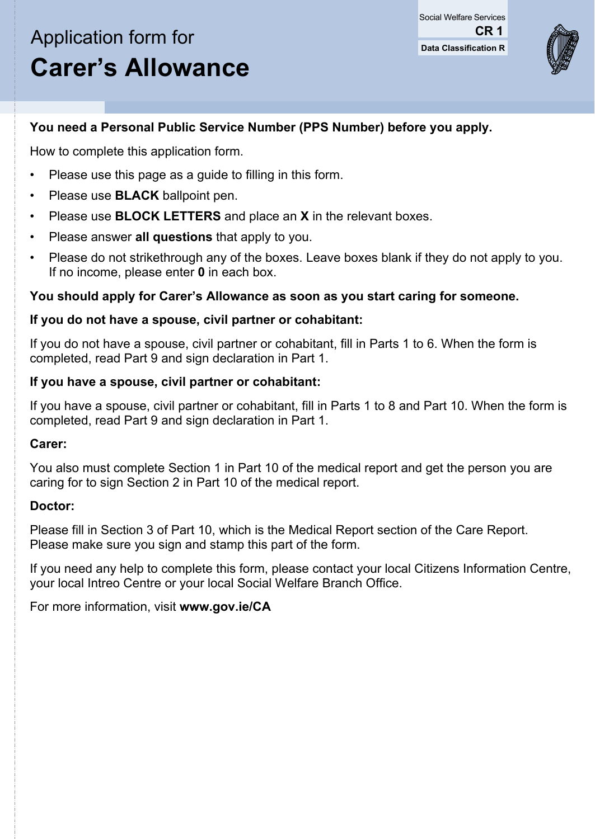# Application form for **Carer's Allowance**

**Data Classification R** Social Welfare Services **CR 1**



### **You need a Personal Public Service Number (PPS Number) before you apply.**

How to complete this application form.

- Please use this page as a guide to filling in this form.
- Please use **BLACK** ballpoint pen.
- Please use **BLOCK LETTERS** and place an **X** in the relevant boxes.
- Please answer **all questions** that apply to you.
- Please do not strikethrough any of the boxes. Leave boxes blank if they do not apply to you. If no income, please enter **0** in each box.

### **You should apply for Carer's Allowance as soon as you start caring for someone.**

### **If you do not have a spouse, civil partner or cohabitant:**

If you do not have a spouse, civil partner or cohabitant, fill in Parts 1 to 6. When the form is completed, read Part 9 and sign declaration in Part 1.

### **If you have a spouse, civil partner or cohabitant:**

If you have a spouse, civil partner or cohabitant, fill in Parts 1 to 8 and Part 10. When the form is completed, read Part 9 and sign declaration in Part 1.

### **Carer:**

You also must complete Section 1 in Part 10 of the medical report and get the person you are caring for to sign Section 2 in Part 10 of the medical report.

### **Doctor:**

Please fill in Section 3 of Part 10, which is the Medical Report section of the Care Report. Please make sure you sign and stamp this part of the form.

If you need any help to complete this form, please contact your local Citizens Information Centre, your local Intreo Centre or your local Social Welfare Branch Office.

For more information, visit **[www.gov.ie](http://www.gov.ie/deasp)/CA**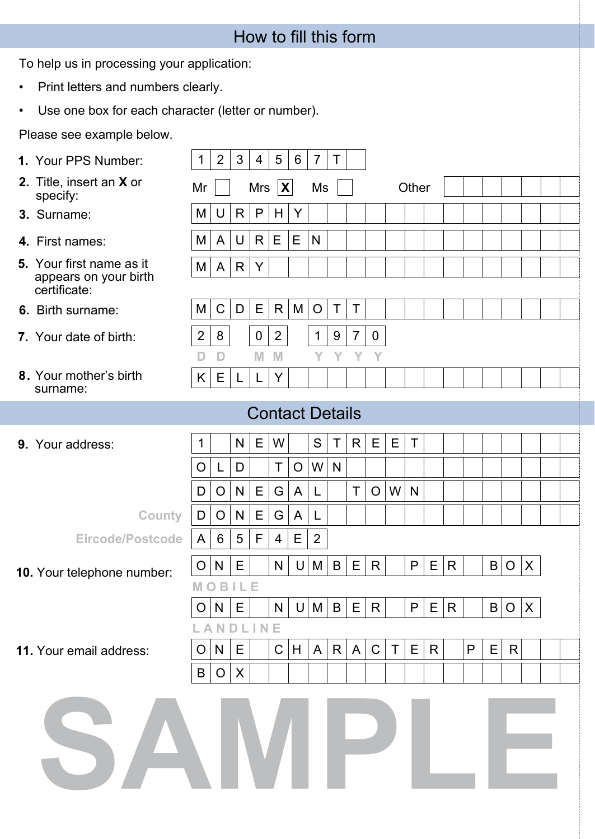## How to fill this form

To help us in processing your application:

- Print letters and numbers clearly.
- Use one box for each character (letter or number).

Please see example below.

| 1. Your PPS Number:                                               | $\mathbf 1$         | $\overline{2}$ | 3  | 4                     | $\sqrt{5}$          | $6\phantom{.}$ | $\overline{7}$         | $\top$       |                     |                  |   |              |   |   |              |   |         |   |  |
|-------------------------------------------------------------------|---------------------|----------------|----|-----------------------|---------------------|----------------|------------------------|--------------|---------------------|------------------|---|--------------|---|---|--------------|---|---------|---|--|
| 2. Title, insert an <b>X</b> or<br>specify:                       | Mr                  |                |    | Mrs                   | $ \mathbf{X} $      |                | Ms                     |              |                     |                  |   | Other        |   |   |              |   |         |   |  |
| 3. Surname:                                                       | M                   | U              | R  | P                     | H                   | Y              |                        |              |                     |                  |   |              |   |   |              |   |         |   |  |
| 4. First names:                                                   | M                   | A              | U  | $R \mid$              | Е                   | E              | N                      |              |                     |                  |   |              |   |   |              |   |         |   |  |
| 5. Your first name as it<br>appears on your birth<br>certificate: | M                   | $\mathsf{A}$   | R  | Y                     |                     |                |                        |              |                     |                  |   |              |   |   |              |   |         |   |  |
| 6. Birth surname:                                                 | M                   | $\mathsf C$    | D  | E                     | $\mathsf{R}$        | M              | $\circ$                | $\mathsf{T}$ | Τ                   |                  |   |              |   |   |              |   |         |   |  |
| 7. Your date of birth:                                            | $\overline{2}$<br>D | 8<br>D         |    | $\boldsymbol{0}$<br>M | $\overline{2}$<br>M |                | $\mathbf{1}$<br>Y      | 9<br>Y       | $\overline{7}$<br>Υ | $\mathbf 0$<br>Y |   |              |   |   |              |   |         |   |  |
| 8. Your mother's birth<br>surname:                                | K                   | E              |    |                       | Y                   |                |                        |              |                     |                  |   |              |   |   |              |   |         |   |  |
|                                                                   |                     |                |    |                       |                     |                | <b>Contact Details</b> |              |                     |                  |   |              |   |   |              |   |         |   |  |
| 9. Your address:                                                  | 1                   |                | N  | Е                     | W                   |                | S                      | T            | $\mathsf{R}$        | E                | E | $\mathsf T$  |   |   |              |   |         |   |  |
|                                                                   | $\circ$             | L              | D  |                       | T                   | $\circ$        | W                      | $\mathsf{N}$ |                     |                  |   |              |   |   |              |   |         |   |  |
|                                                                   | D                   | $\circ$        | N  | E                     | G                   | A              | L                      |              | T                   | O                | W | $\mathsf{N}$ |   |   |              |   |         |   |  |
| <b>County</b>                                                     | D                   | $\circ$        | N  | E                     | G                   | $\mathsf{A}$   | L                      |              |                     |                  |   |              |   |   |              |   |         |   |  |
| <b>Eircode/Postcode</b>                                           | A                   | 6              | 5  | $\mathsf F$           | 4                   | Е              | $\overline{2}$         |              |                     |                  |   |              |   |   |              |   |         |   |  |
| 10. Your telephone number:                                        | O                   | N              | E  |                       | N                   | U              | M                      | B            | Е                   | R                |   | P            | E | R |              | B | $\circ$ | X |  |
|                                                                   | M                   | в              | LЕ |                       |                     |                |                        |              |                     |                  |   |              |   |   |              |   |         |   |  |
|                                                                   | O                   | N              | Е  |                       | N.                  | U              | M                      | B            | Ε                   | R                |   | P            | Е | R |              | B | $\circ$ | X |  |
| 11. Your email address:                                           | O                   | N              | E  |                       | C                   | H              | A                      | $\mathsf{R}$ | $\mathsf{A}$        | C                | Τ | E            | R |   | $\mathsf{P}$ | Е | R       |   |  |
|                                                                   | B                   | O              | X  |                       |                     |                |                        |              |                     |                  |   |              |   |   |              |   |         |   |  |
|                                                                   |                     |                |    |                       |                     |                |                        |              |                     |                  |   |              |   |   |              |   |         |   |  |
| DAI                                                               |                     |                |    |                       |                     |                | VIP                    |              |                     |                  |   |              |   |   |              |   |         |   |  |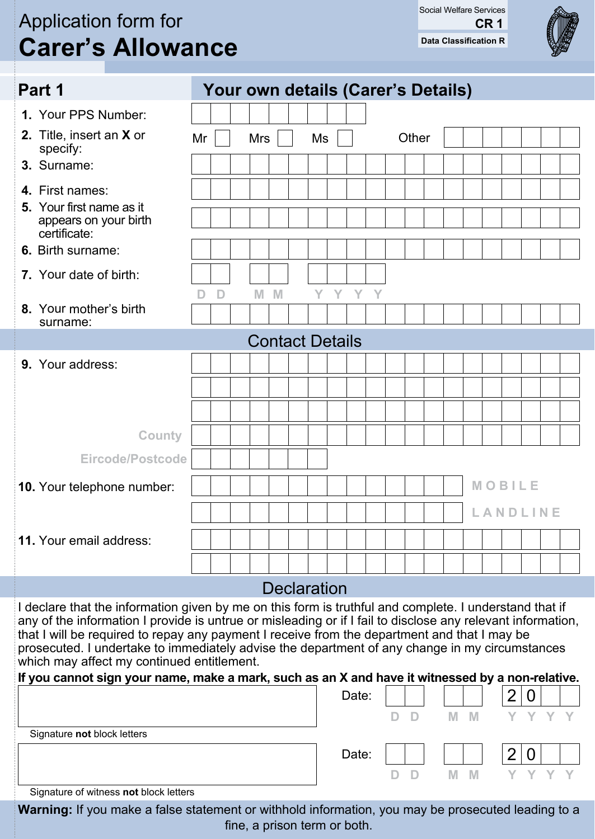# Application form for **Carer's Allowance**

**Data Classification R** Social Welfare Services **CR 1**



| Part 1                                                                                                                                                                                                                                                                                                                                                                                                                                                                                                                                                                    |    |   |            |     | Your own details (Carer's Details) |         |  |       |   |   |                |                |  |
|---------------------------------------------------------------------------------------------------------------------------------------------------------------------------------------------------------------------------------------------------------------------------------------------------------------------------------------------------------------------------------------------------------------------------------------------------------------------------------------------------------------------------------------------------------------------------|----|---|------------|-----|------------------------------------|---------|--|-------|---|---|----------------|----------------|--|
| 1. Your PPS Number:                                                                                                                                                                                                                                                                                                                                                                                                                                                                                                                                                       |    |   |            |     |                                    |         |  |       |   |   |                |                |  |
| <b>2.</b> Title, insert an <b>X</b> or<br>specify:                                                                                                                                                                                                                                                                                                                                                                                                                                                                                                                        | Mr |   | <b>Mrs</b> |     | Ms                                 |         |  | Other |   |   |                |                |  |
| 3. Surname:                                                                                                                                                                                                                                                                                                                                                                                                                                                                                                                                                               |    |   |            |     |                                    |         |  |       |   |   |                |                |  |
| 4. First names:<br>5. Your first name as it                                                                                                                                                                                                                                                                                                                                                                                                                                                                                                                               |    |   |            |     |                                    |         |  |       |   |   |                |                |  |
| appears on your birth<br>certificate:                                                                                                                                                                                                                                                                                                                                                                                                                                                                                                                                     |    |   |            |     |                                    |         |  |       |   |   |                |                |  |
| 6. Birth surname:                                                                                                                                                                                                                                                                                                                                                                                                                                                                                                                                                         |    |   |            |     |                                    |         |  |       |   |   |                |                |  |
| 7. Your date of birth:                                                                                                                                                                                                                                                                                                                                                                                                                                                                                                                                                    |    |   |            |     |                                    |         |  |       |   |   |                |                |  |
| 8. Your mother's birth<br>surname:                                                                                                                                                                                                                                                                                                                                                                                                                                                                                                                                        | D  | D |            | M M |                                    | Y Y Y Y |  |       |   |   |                |                |  |
|                                                                                                                                                                                                                                                                                                                                                                                                                                                                                                                                                                           |    |   |            |     | <b>Contact Details</b>             |         |  |       |   |   |                |                |  |
| 9. Your address:                                                                                                                                                                                                                                                                                                                                                                                                                                                                                                                                                          |    |   |            |     |                                    |         |  |       |   |   |                |                |  |
|                                                                                                                                                                                                                                                                                                                                                                                                                                                                                                                                                                           |    |   |            |     |                                    |         |  |       |   |   |                |                |  |
|                                                                                                                                                                                                                                                                                                                                                                                                                                                                                                                                                                           |    |   |            |     |                                    |         |  |       |   |   |                |                |  |
| <b>County</b>                                                                                                                                                                                                                                                                                                                                                                                                                                                                                                                                                             |    |   |            |     |                                    |         |  |       |   |   |                |                |  |
| <b>Eircode/Postcode</b>                                                                                                                                                                                                                                                                                                                                                                                                                                                                                                                                                   |    |   |            |     |                                    |         |  |       |   |   |                |                |  |
|                                                                                                                                                                                                                                                                                                                                                                                                                                                                                                                                                                           |    |   |            |     |                                    |         |  |       |   |   |                |                |  |
| <b>10.</b> Your telephone number:                                                                                                                                                                                                                                                                                                                                                                                                                                                                                                                                         |    |   |            |     |                                    |         |  |       |   |   |                | <b>MOBILE</b>  |  |
|                                                                                                                                                                                                                                                                                                                                                                                                                                                                                                                                                                           |    |   |            |     |                                    |         |  |       |   |   |                | LANDLINE       |  |
| 11. Your email address:                                                                                                                                                                                                                                                                                                                                                                                                                                                                                                                                                   |    |   |            |     |                                    |         |  |       |   |   |                |                |  |
|                                                                                                                                                                                                                                                                                                                                                                                                                                                                                                                                                                           |    |   |            |     |                                    |         |  |       |   |   |                |                |  |
|                                                                                                                                                                                                                                                                                                                                                                                                                                                                                                                                                                           |    |   |            |     | <b>Declaration</b>                 |         |  |       |   |   |                |                |  |
| I declare that the information given by me on this form is truthful and complete. I understand that if<br>any of the information I provide is untrue or misleading or if I fail to disclose any relevant information,<br>that I will be required to repay any payment I receive from the department and that I may be<br>prosecuted. I undertake to immediately advise the department of any change in my circumstances<br>which may affect my continued entitlement.<br>If you cannot sign your name, make a mark, such as an X and have it witnessed by a non-relative. |    |   |            |     |                                    |         |  |       |   |   |                |                |  |
|                                                                                                                                                                                                                                                                                                                                                                                                                                                                                                                                                                           |    |   |            |     |                                    | Date:   |  |       |   |   | $\overline{2}$ | $\overline{0}$ |  |
|                                                                                                                                                                                                                                                                                                                                                                                                                                                                                                                                                                           |    |   |            |     |                                    |         |  | D     | M | M |                |                |  |
| Signature not block letters                                                                                                                                                                                                                                                                                                                                                                                                                                                                                                                                               |    |   |            |     |                                    |         |  |       |   |   |                |                |  |
|                                                                                                                                                                                                                                                                                                                                                                                                                                                                                                                                                                           |    |   |            |     |                                    | Date:   |  | D     | M | M | 2              | 0              |  |
| Signature of witness not block letters                                                                                                                                                                                                                                                                                                                                                                                                                                                                                                                                    |    |   |            |     |                                    |         |  |       |   |   |                |                |  |
| Warning: If you make a false statement or withhold information, you may be prosecuted leading to a                                                                                                                                                                                                                                                                                                                                                                                                                                                                        |    |   |            |     | fine, a prison term or both.       |         |  |       |   |   |                |                |  |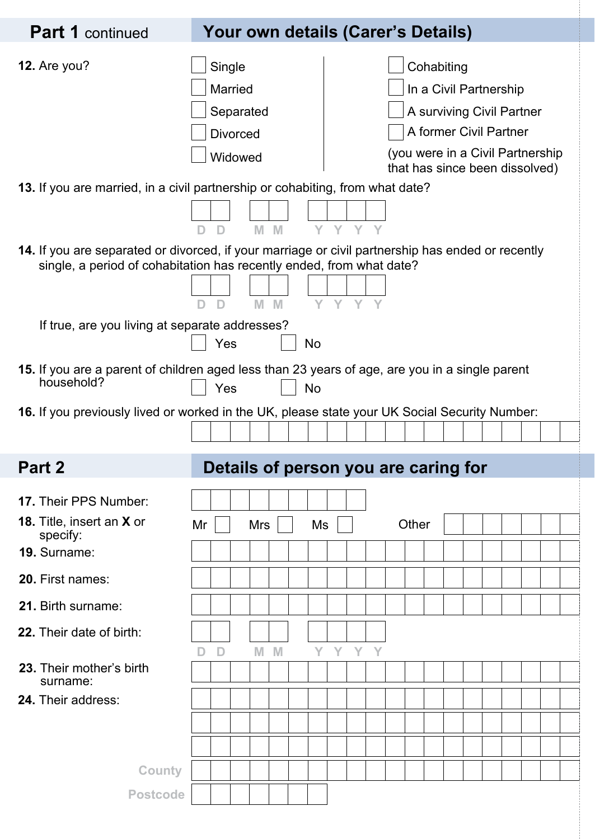| <b>Part 1</b> continued                                                                                                                                                                                                           |                                                                                                                                 | Your own details (Carer's Details)   |  |            |          |  |    |     |         |   |  |       |  |                                                     |  |  |  |                                  |  |
|-----------------------------------------------------------------------------------------------------------------------------------------------------------------------------------------------------------------------------------|---------------------------------------------------------------------------------------------------------------------------------|--------------------------------------|--|------------|----------|--|----|-----|---------|---|--|-------|--|-----------------------------------------------------|--|--|--|----------------------------------|--|
|                                                                                                                                                                                                                                   |                                                                                                                                 |                                      |  |            |          |  |    |     |         |   |  |       |  |                                                     |  |  |  |                                  |  |
| 12. Are you?                                                                                                                                                                                                                      |                                                                                                                                 | Single<br><b>Married</b>             |  |            |          |  |    |     |         |   |  |       |  | Cohabiting                                          |  |  |  |                                  |  |
|                                                                                                                                                                                                                                   |                                                                                                                                 |                                      |  |            |          |  |    |     |         |   |  |       |  | In a Civil Partnership                              |  |  |  |                                  |  |
|                                                                                                                                                                                                                                   |                                                                                                                                 | Separated<br><b>Divorced</b>         |  |            |          |  |    |     |         |   |  |       |  | A surviving Civil Partner<br>A former Civil Partner |  |  |  |                                  |  |
|                                                                                                                                                                                                                                   |                                                                                                                                 | Widowed                              |  |            |          |  |    |     |         |   |  |       |  |                                                     |  |  |  | (you were in a Civil Partnership |  |
|                                                                                                                                                                                                                                   |                                                                                                                                 |                                      |  |            |          |  |    |     |         |   |  |       |  |                                                     |  |  |  | that has since been dissolved)   |  |
| 13. If you are married, in a civil partnership or cohabiting, from what date?                                                                                                                                                     |                                                                                                                                 |                                      |  |            |          |  |    |     |         |   |  |       |  |                                                     |  |  |  |                                  |  |
|                                                                                                                                                                                                                                   |                                                                                                                                 | D D                                  |  | $M$ $M$    |          |  |    |     | Y Y Y Y |   |  |       |  |                                                     |  |  |  |                                  |  |
|                                                                                                                                                                                                                                   |                                                                                                                                 |                                      |  |            |          |  |    |     |         |   |  |       |  |                                                     |  |  |  |                                  |  |
|                                                                                                                                                                                                                                   |                                                                                                                                 |                                      |  |            |          |  |    |     |         |   |  |       |  |                                                     |  |  |  |                                  |  |
|                                                                                                                                                                                                                                   | 14. If you are separated or divorced, if your marriage or civil partnership has ended or recently<br>$M$ M<br>Y Y Y Y<br>D<br>D |                                      |  |            |          |  |    |     |         |   |  |       |  |                                                     |  |  |  |                                  |  |
| single, a period of cohabitation has recently ended, from what date?<br>If true, are you living at separate addresses?<br>Yes<br>No                                                                                               |                                                                                                                                 |                                      |  |            |          |  |    |     |         |   |  |       |  |                                                     |  |  |  |                                  |  |
|                                                                                                                                                                                                                                   |                                                                                                                                 |                                      |  |            |          |  |    |     |         |   |  |       |  |                                                     |  |  |  |                                  |  |
| 15. If you are a parent of children aged less than 23 years of age, are you in a single parent<br>household?<br>Yes<br><b>No</b><br>16. If you previously lived or worked in the UK, please state your UK Social Security Number: |                                                                                                                                 |                                      |  |            |          |  |    |     |         |   |  |       |  |                                                     |  |  |  |                                  |  |
|                                                                                                                                                                                                                                   |                                                                                                                                 |                                      |  |            |          |  |    |     |         |   |  |       |  |                                                     |  |  |  |                                  |  |
|                                                                                                                                                                                                                                   |                                                                                                                                 |                                      |  |            |          |  |    |     |         |   |  |       |  |                                                     |  |  |  |                                  |  |
| Part 2                                                                                                                                                                                                                            |                                                                                                                                 | Details of person you are caring for |  |            |          |  |    |     |         |   |  |       |  |                                                     |  |  |  |                                  |  |
| <b>17. Their PPS Number:</b>                                                                                                                                                                                                      |                                                                                                                                 |                                      |  |            |          |  |    |     |         |   |  |       |  |                                                     |  |  |  |                                  |  |
| <b>18.</b> Title, insert an <b>X</b> or                                                                                                                                                                                           |                                                                                                                                 |                                      |  |            |          |  |    |     |         |   |  |       |  |                                                     |  |  |  |                                  |  |
| specify:                                                                                                                                                                                                                          | Mr                                                                                                                              |                                      |  | <b>Mrs</b> |          |  | Ms |     |         |   |  | Other |  |                                                     |  |  |  |                                  |  |
| 19. Surname:                                                                                                                                                                                                                      |                                                                                                                                 |                                      |  |            |          |  |    |     |         |   |  |       |  |                                                     |  |  |  |                                  |  |
| 20. First names:                                                                                                                                                                                                                  |                                                                                                                                 |                                      |  |            |          |  |    |     |         |   |  |       |  |                                                     |  |  |  |                                  |  |
| <b>21.</b> Birth surname:                                                                                                                                                                                                         |                                                                                                                                 |                                      |  |            |          |  |    |     |         |   |  |       |  |                                                     |  |  |  |                                  |  |
| 22. Their date of birth:                                                                                                                                                                                                          |                                                                                                                                 |                                      |  |            |          |  |    |     |         |   |  |       |  |                                                     |  |  |  |                                  |  |
|                                                                                                                                                                                                                                   | D.                                                                                                                              | D                                    |  | M          | <b>M</b> |  | Y  | Y Y |         | Y |  |       |  |                                                     |  |  |  |                                  |  |
| 23. Their mother's birth<br>surname:                                                                                                                                                                                              |                                                                                                                                 |                                      |  |            |          |  |    |     |         |   |  |       |  |                                                     |  |  |  |                                  |  |
| 24. Their address:                                                                                                                                                                                                                |                                                                                                                                 |                                      |  |            |          |  |    |     |         |   |  |       |  |                                                     |  |  |  |                                  |  |
|                                                                                                                                                                                                                                   |                                                                                                                                 |                                      |  |            |          |  |    |     |         |   |  |       |  |                                                     |  |  |  |                                  |  |
|                                                                                                                                                                                                                                   |                                                                                                                                 |                                      |  |            |          |  |    |     |         |   |  |       |  |                                                     |  |  |  |                                  |  |
|                                                                                                                                                                                                                                   |                                                                                                                                 |                                      |  |            |          |  |    |     |         |   |  |       |  |                                                     |  |  |  |                                  |  |
| County                                                                                                                                                                                                                            |                                                                                                                                 |                                      |  |            |          |  |    |     |         |   |  |       |  |                                                     |  |  |  |                                  |  |
| <b>Postcode</b>                                                                                                                                                                                                                   |                                                                                                                                 |                                      |  |            |          |  |    |     |         |   |  |       |  |                                                     |  |  |  |                                  |  |
|                                                                                                                                                                                                                                   |                                                                                                                                 |                                      |  |            |          |  |    |     |         |   |  |       |  |                                                     |  |  |  |                                  |  |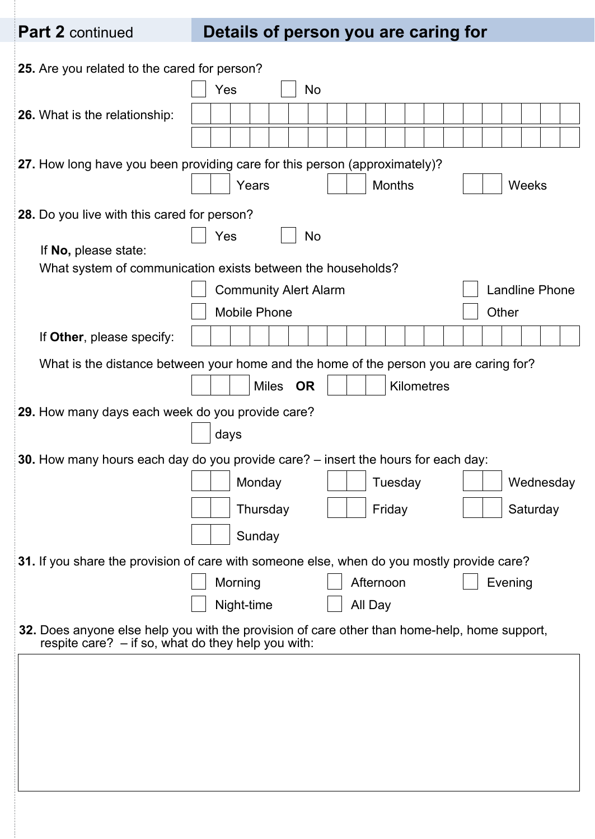|  | <b>Part 2 continued</b> |
|--|-------------------------|
|--|-------------------------|

# **Part 2** continued **Details of person you are caring for**

| 25. Are you related to the cared for person?                                                                                                         |                                                           |      |                              |  |  |    |  |         |  |               |  |  |  |  |         |          |                       |
|------------------------------------------------------------------------------------------------------------------------------------------------------|-----------------------------------------------------------|------|------------------------------|--|--|----|--|---------|--|---------------|--|--|--|--|---------|----------|-----------------------|
|                                                                                                                                                      |                                                           | Yes  |                              |  |  | No |  |         |  |               |  |  |  |  |         |          |                       |
| <b>26.</b> What is the relationship:                                                                                                                 |                                                           |      |                              |  |  |    |  |         |  |               |  |  |  |  |         |          |                       |
|                                                                                                                                                      |                                                           |      |                              |  |  |    |  |         |  |               |  |  |  |  |         |          |                       |
| 27. How long have you been providing care for this person (approximately)?                                                                           |                                                           |      |                              |  |  |    |  |         |  |               |  |  |  |  |         |          |                       |
|                                                                                                                                                      |                                                           |      | Years                        |  |  |    |  |         |  | <b>Months</b> |  |  |  |  |         | Weeks    |                       |
| 28. Do you live with this cared for person?                                                                                                          |                                                           |      |                              |  |  |    |  |         |  |               |  |  |  |  |         |          |                       |
|                                                                                                                                                      |                                                           | Yes  |                              |  |  | No |  |         |  |               |  |  |  |  |         |          |                       |
| If No, please state:                                                                                                                                 |                                                           |      |                              |  |  |    |  |         |  |               |  |  |  |  |         |          |                       |
| What system of communication exists between the households?                                                                                          |                                                           |      |                              |  |  |    |  |         |  |               |  |  |  |  |         |          |                       |
|                                                                                                                                                      |                                                           |      | <b>Community Alert Alarm</b> |  |  |    |  |         |  |               |  |  |  |  |         |          | <b>Landline Phone</b> |
|                                                                                                                                                      | <b>Mobile Phone</b><br>Other<br>If Other, please specify: |      |                              |  |  |    |  |         |  |               |  |  |  |  |         |          |                       |
|                                                                                                                                                      |                                                           |      |                              |  |  |    |  |         |  |               |  |  |  |  |         |          |                       |
| What is the distance between your home and the home of the person you are caring for?                                                                |                                                           |      |                              |  |  |    |  |         |  |               |  |  |  |  |         |          |                       |
| <b>Miles</b><br><b>Kilometres</b><br><b>OR</b>                                                                                                       |                                                           |      |                              |  |  |    |  |         |  |               |  |  |  |  |         |          |                       |
| 29. How many days each week do you provide care?                                                                                                     |                                                           |      |                              |  |  |    |  |         |  |               |  |  |  |  |         |          |                       |
|                                                                                                                                                      |                                                           | days |                              |  |  |    |  |         |  |               |  |  |  |  |         |          |                       |
| 30. How many hours each day do you provide care? - insert the hours for each day:                                                                    |                                                           |      |                              |  |  |    |  |         |  |               |  |  |  |  |         |          |                       |
|                                                                                                                                                      |                                                           |      | Monday                       |  |  |    |  |         |  | Tuesday       |  |  |  |  |         |          | Wednesday             |
|                                                                                                                                                      |                                                           |      |                              |  |  |    |  |         |  |               |  |  |  |  |         |          |                       |
|                                                                                                                                                      |                                                           |      | Thursday                     |  |  |    |  |         |  | Friday        |  |  |  |  |         | Saturday |                       |
|                                                                                                                                                      |                                                           |      | Sunday                       |  |  |    |  |         |  |               |  |  |  |  |         |          |                       |
| 31. If you share the provision of care with someone else, when do you mostly provide care?                                                           |                                                           |      |                              |  |  |    |  |         |  |               |  |  |  |  |         |          |                       |
|                                                                                                                                                      |                                                           |      | Morning                      |  |  |    |  |         |  | Afternoon     |  |  |  |  | Evening |          |                       |
|                                                                                                                                                      |                                                           |      | Night-time                   |  |  |    |  | All Day |  |               |  |  |  |  |         |          |                       |
| 32. Does anyone else help you with the provision of care other than home-help, home support,<br>respite care? $-$ if so, what do they help you with: |                                                           |      |                              |  |  |    |  |         |  |               |  |  |  |  |         |          |                       |
|                                                                                                                                                      |                                                           |      |                              |  |  |    |  |         |  |               |  |  |  |  |         |          |                       |
|                                                                                                                                                      |                                                           |      |                              |  |  |    |  |         |  |               |  |  |  |  |         |          |                       |
|                                                                                                                                                      |                                                           |      |                              |  |  |    |  |         |  |               |  |  |  |  |         |          |                       |
|                                                                                                                                                      |                                                           |      |                              |  |  |    |  |         |  |               |  |  |  |  |         |          |                       |
|                                                                                                                                                      |                                                           |      |                              |  |  |    |  |         |  |               |  |  |  |  |         |          |                       |
|                                                                                                                                                      |                                                           |      |                              |  |  |    |  |         |  |               |  |  |  |  |         |          |                       |
|                                                                                                                                                      |                                                           |      |                              |  |  |    |  |         |  |               |  |  |  |  |         |          |                       |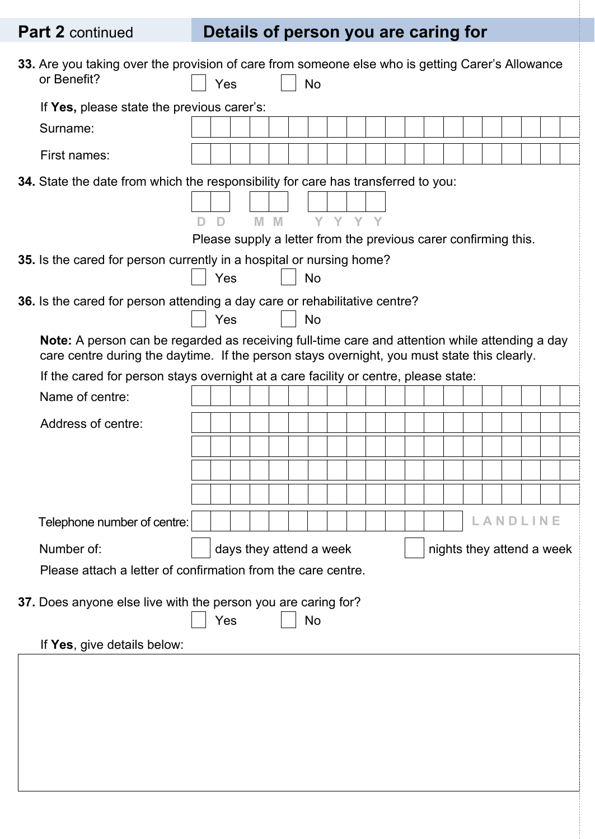# **Part 2** continued **Details of person you are caring for**

| 33. Are you taking over the provision of care from someone else who is getting Carer's Allowance<br>or Benefit?                                                                               | Yes |                         |  | No        |         |                                                                 |  |  |  |                           |  |
|-----------------------------------------------------------------------------------------------------------------------------------------------------------------------------------------------|-----|-------------------------|--|-----------|---------|-----------------------------------------------------------------|--|--|--|---------------------------|--|
| If Yes, please state the previous carer's:                                                                                                                                                    |     |                         |  |           |         |                                                                 |  |  |  |                           |  |
| Surname:                                                                                                                                                                                      |     |                         |  |           |         |                                                                 |  |  |  |                           |  |
| First names:                                                                                                                                                                                  |     |                         |  |           |         |                                                                 |  |  |  |                           |  |
| 34. State the date from which the responsibility for care has transferred to you:                                                                                                             |     |                         |  |           |         |                                                                 |  |  |  |                           |  |
|                                                                                                                                                                                               |     |                         |  |           |         |                                                                 |  |  |  |                           |  |
|                                                                                                                                                                                               | D   | $M$ M                   |  |           | Y Y Y Y |                                                                 |  |  |  |                           |  |
|                                                                                                                                                                                               |     |                         |  |           |         | Please supply a letter from the previous carer confirming this. |  |  |  |                           |  |
| 35. Is the cared for person currently in a hospital or nursing home?                                                                                                                          | Yes |                         |  | No        |         |                                                                 |  |  |  |                           |  |
| 36. Is the cared for person attending a day care or rehabilitative centre?                                                                                                                    | Yes |                         |  | <b>No</b> |         |                                                                 |  |  |  |                           |  |
| Note: A person can be regarded as receiving full-time care and attention while attending a day<br>care centre during the daytime. If the person stays overnight, you must state this clearly. |     |                         |  |           |         |                                                                 |  |  |  |                           |  |
| If the cared for person stays overnight at a care facility or centre, please state:                                                                                                           |     |                         |  |           |         |                                                                 |  |  |  |                           |  |
| Name of centre:                                                                                                                                                                               |     |                         |  |           |         |                                                                 |  |  |  |                           |  |
| Address of centre:                                                                                                                                                                            |     |                         |  |           |         |                                                                 |  |  |  |                           |  |
|                                                                                                                                                                                               |     |                         |  |           |         |                                                                 |  |  |  |                           |  |
|                                                                                                                                                                                               |     |                         |  |           |         |                                                                 |  |  |  |                           |  |
|                                                                                                                                                                                               |     |                         |  |           |         |                                                                 |  |  |  |                           |  |
| Telephone number of centre:                                                                                                                                                                   |     |                         |  |           |         |                                                                 |  |  |  | LANDLINE                  |  |
| Number of:                                                                                                                                                                                    |     | days they attend a week |  |           |         |                                                                 |  |  |  | nights they attend a week |  |
| Please attach a letter of confirmation from the care centre.                                                                                                                                  |     |                         |  |           |         |                                                                 |  |  |  |                           |  |
| 37. Does anyone else live with the person you are caring for?                                                                                                                                 | Yes |                         |  | No        |         |                                                                 |  |  |  |                           |  |
| If Yes, give details below:                                                                                                                                                                   |     |                         |  |           |         |                                                                 |  |  |  |                           |  |
|                                                                                                                                                                                               |     |                         |  |           |         |                                                                 |  |  |  |                           |  |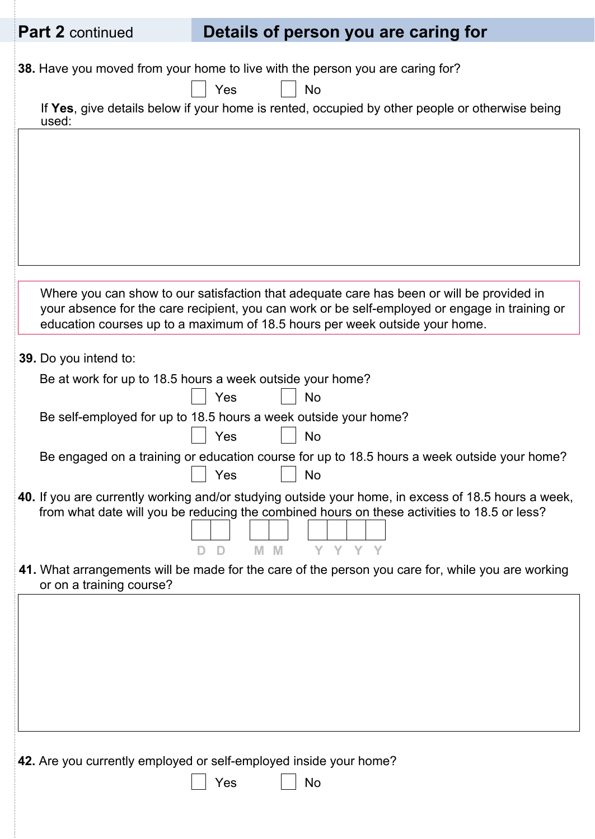| <b>Part 2 continued</b>  | Details of person you are caring for                                                                                                                                                                                                                                       |
|--------------------------|----------------------------------------------------------------------------------------------------------------------------------------------------------------------------------------------------------------------------------------------------------------------------|
| used:                    | 38. Have you moved from your home to live with the person you are caring for?<br>Yes<br>No<br>If Yes, give details below if your home is rented, occupied by other people or otherwise being                                                                               |
|                          |                                                                                                                                                                                                                                                                            |
|                          |                                                                                                                                                                                                                                                                            |
|                          | Where you can show to our satisfaction that adequate care has been or will be provided in<br>your absence for the care recipient, you can work or be self-employed or engage in training or<br>education courses up to a maximum of 18.5 hours per week outside your home. |
| 39. Do you intend to:    |                                                                                                                                                                                                                                                                            |
|                          | Be at work for up to 18.5 hours a week outside your home?                                                                                                                                                                                                                  |
|                          | Yes<br>No<br>Be self-employed for up to 18.5 hours a week outside your home?                                                                                                                                                                                               |
|                          | Yes<br><b>No</b>                                                                                                                                                                                                                                                           |
|                          | Be engaged on a training or education course for up to 18.5 hours a week outside your home?<br><b>No</b><br>Yes                                                                                                                                                            |
|                          | 40. If you are currently working and/or studying outside your home, in excess of 18.5 hours a week,<br>from what date will you be reducing the combined hours on these activities to 18.5 or less?                                                                         |
| or on a training course? | M<br>M<br>41. What arrangements will be made for the care of the person you care for, while you are working                                                                                                                                                                |
|                          |                                                                                                                                                                                                                                                                            |
|                          |                                                                                                                                                                                                                                                                            |
|                          |                                                                                                                                                                                                                                                                            |
|                          |                                                                                                                                                                                                                                                                            |
|                          | 42. Are you currently employed or self-employed inside your home?<br>Yes<br>No                                                                                                                                                                                             |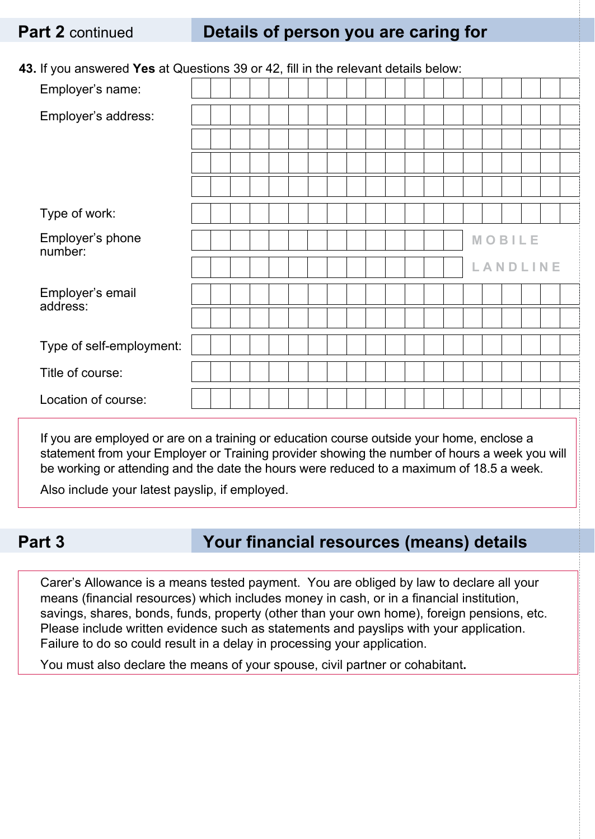## **Part 2** continued **Details of person you are caring for**

| Employer's name:            |  |  |  |  |  |  |  |  |          |  |
|-----------------------------|--|--|--|--|--|--|--|--|----------|--|
| Employer's address:         |  |  |  |  |  |  |  |  |          |  |
|                             |  |  |  |  |  |  |  |  |          |  |
|                             |  |  |  |  |  |  |  |  |          |  |
|                             |  |  |  |  |  |  |  |  |          |  |
| Type of work:               |  |  |  |  |  |  |  |  |          |  |
| Employer's phone<br>number: |  |  |  |  |  |  |  |  | MOBILE   |  |
|                             |  |  |  |  |  |  |  |  | LANDLINE |  |
| Employer's email            |  |  |  |  |  |  |  |  |          |  |
| address:                    |  |  |  |  |  |  |  |  |          |  |
| Type of self-employment:    |  |  |  |  |  |  |  |  |          |  |
| Title of course:            |  |  |  |  |  |  |  |  |          |  |
| Location of course:         |  |  |  |  |  |  |  |  |          |  |

If you are employed or are on a training or education course outside your home, enclose a statement from your Employer or Training provider showing the number of hours a week you will be working or attending and the date the hours were reduced to a maximum of 18.5 a week.

Also include your latest payslip, if employed.

## **Part 3 Your financial resources (means) details**

Carer's Allowance is a means tested payment. You are obliged by law to declare all your means (financial resources) which includes money in cash, or in a financial institution, savings, shares, bonds, funds, property (other than your own home), foreign pensions, etc. Please include written evidence such as statements and payslips with your application. Failure to do so could result in a delay in processing your application.

You must also declare the means of your spouse, civil partner or cohabitant**.**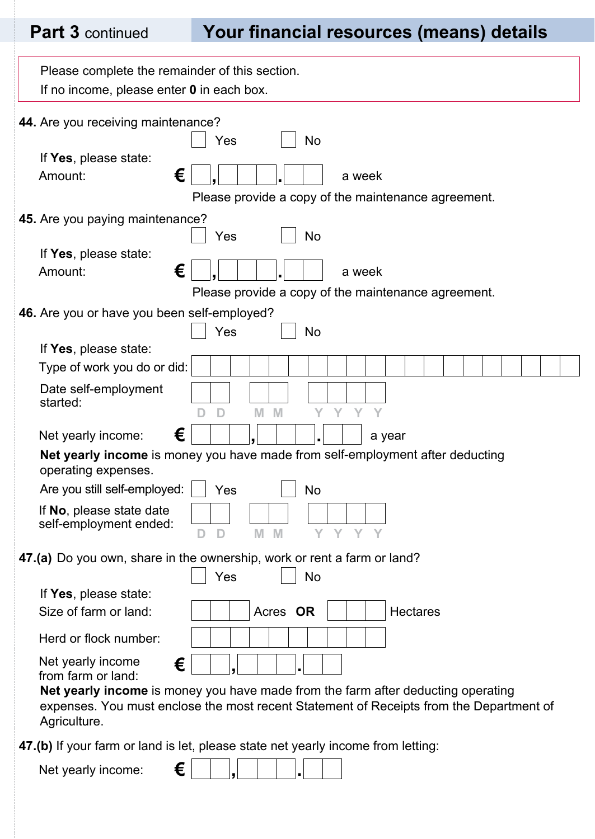| Please complete the remainder of this section.<br>If no income, please enter 0 in each box.                                                                                                                                                 |
|---------------------------------------------------------------------------------------------------------------------------------------------------------------------------------------------------------------------------------------------|
| 44. Are you receiving maintenance?<br>Yes<br>No                                                                                                                                                                                             |
| If Yes, please state:<br>€<br>Amount:<br>a week<br>Please provide a copy of the maintenance agreement.                                                                                                                                      |
| 45. Are you paying maintenance?<br>Yes<br>No                                                                                                                                                                                                |
| If Yes, please state:                                                                                                                                                                                                                       |
| €<br>Amount:<br>a week                                                                                                                                                                                                                      |
| Please provide a copy of the maintenance agreement.                                                                                                                                                                                         |
| 46. Are you or have you been self-employed?                                                                                                                                                                                                 |
| Yes<br>No                                                                                                                                                                                                                                   |
| If Yes, please state:                                                                                                                                                                                                                       |
| Type of work you do or did:                                                                                                                                                                                                                 |
| Date self-employment<br>started:<br>M<br>M<br>Y<br>Y<br>Y<br>Y<br>D<br>D                                                                                                                                                                    |
| €<br>Net yearly income:<br>a year                                                                                                                                                                                                           |
| Net yearly income is money you have made from self-employment after deducting<br>operating expenses.                                                                                                                                        |
| Are you still self-employed:<br>Yes<br><b>No</b>                                                                                                                                                                                            |
| If No, please state date<br>self-employment ended:<br>M M<br>YYYY<br>D                                                                                                                                                                      |
| 47.(a) Do you own, share in the ownership, work or rent a farm or land?<br>Yes<br>No                                                                                                                                                        |
| If Yes, please state:                                                                                                                                                                                                                       |
| Size of farm or land:<br>Acres OR<br><b>Hectares</b>                                                                                                                                                                                        |
| Herd or flock number:                                                                                                                                                                                                                       |
| Net yearly income<br>€<br>from farm or land:<br>Net yearly income is money you have made from the farm after deducting operating<br>expenses. You must enclose the most recent Statement of Receipts from the Department of<br>Agriculture. |
| 47.(b) If your farm or land is let, please state net yearly income from letting:                                                                                                                                                            |
| €<br>Net yearly income:                                                                                                                                                                                                                     |
|                                                                                                                                                                                                                                             |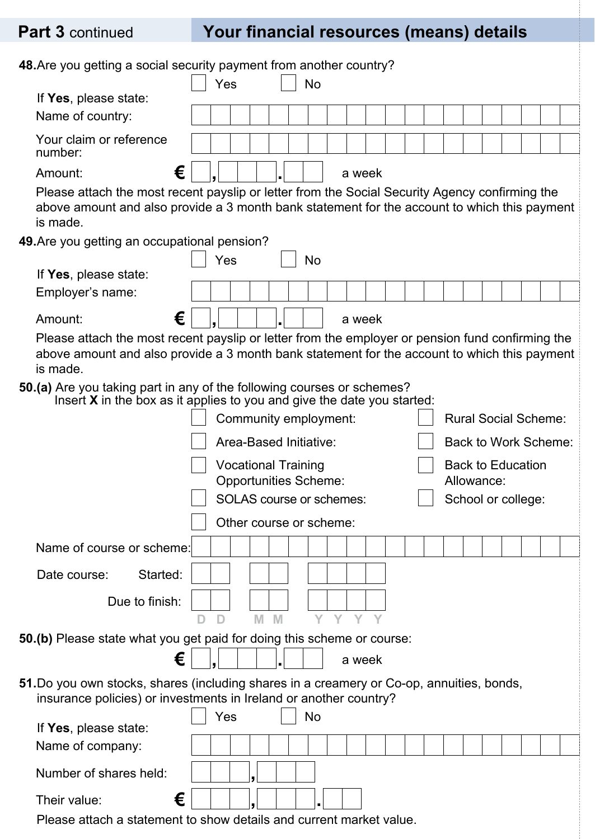|                                              | 48. Are you getting a social security payment from another country?<br>Yes<br>No                                                                                                                 |                                                                                                                     |
|----------------------------------------------|--------------------------------------------------------------------------------------------------------------------------------------------------------------------------------------------------|---------------------------------------------------------------------------------------------------------------------|
| If Yes, please state:                        |                                                                                                                                                                                                  |                                                                                                                     |
| Name of country:                             |                                                                                                                                                                                                  |                                                                                                                     |
| Your claim or reference<br>number:           |                                                                                                                                                                                                  |                                                                                                                     |
| €<br>Amount:                                 | a week                                                                                                                                                                                           |                                                                                                                     |
| is made.                                     | Please attach the most recent payslip or letter from the Social Security Agency confirming the<br>above amount and also provide a 3 month bank statement for the account to which this payment   |                                                                                                                     |
| 49. Are you getting an occupational pension? | Yes<br>No                                                                                                                                                                                        |                                                                                                                     |
| If Yes, please state:                        |                                                                                                                                                                                                  |                                                                                                                     |
| Employer's name:                             |                                                                                                                                                                                                  |                                                                                                                     |
| €<br>Amount:                                 | a week                                                                                                                                                                                           |                                                                                                                     |
| is made.                                     | Please attach the most recent payslip or letter from the employer or pension fund confirming the<br>above amount and also provide a 3 month bank statement for the account to which this payment |                                                                                                                     |
|                                              | Community employment:<br>Area-Based Initiative:<br><b>Vocational Training</b><br><b>Opportunities Scheme:</b><br><b>SOLAS</b> course or schemes:<br>Other course or scheme:                      | <b>Rural Social Scheme:</b><br>Back to Work Scheme:<br><b>Back to Education</b><br>Allowance:<br>School or college: |
| Name of course or scheme:                    |                                                                                                                                                                                                  |                                                                                                                     |
| Started:<br>Date course:                     |                                                                                                                                                                                                  |                                                                                                                     |
| Due to finish:                               |                                                                                                                                                                                                  |                                                                                                                     |
|                                              | M<br>M<br>Y<br>$\mathbf{Y}$                                                                                                                                                                      |                                                                                                                     |
| €                                            | 50.(b) Please state what you get paid for doing this scheme or course:<br>a week                                                                                                                 |                                                                                                                     |
| If Yes, please state:                        | 51. Do you own stocks, shares (including shares in a creamery or Co-op, annuities, bonds,<br>insurance policies) or investments in Ireland or another country?<br>Yes<br>No                      |                                                                                                                     |
| Name of company:                             |                                                                                                                                                                                                  |                                                                                                                     |
| Number of shares held:                       |                                                                                                                                                                                                  |                                                                                                                     |
| €<br>Their value:                            |                                                                                                                                                                                                  |                                                                                                                     |
|                                              | Please attach a statement to show details and current market value.                                                                                                                              |                                                                                                                     |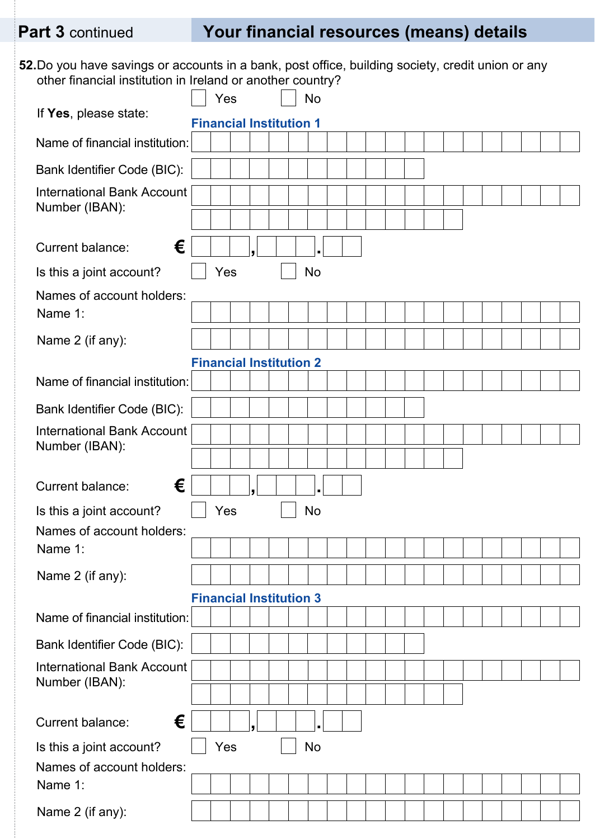| 52. Do you have savings or accounts in a bank, post office, building society, credit union or any<br>other financial institution in Ireland or another country? |                                |     |  |           |  |  |  |  |  |  |  |
|-----------------------------------------------------------------------------------------------------------------------------------------------------------------|--------------------------------|-----|--|-----------|--|--|--|--|--|--|--|
|                                                                                                                                                                 |                                | Yes |  | No        |  |  |  |  |  |  |  |
| If Yes, please state:                                                                                                                                           | <b>Financial Institution 1</b> |     |  |           |  |  |  |  |  |  |  |
| Name of financial institution:                                                                                                                                  |                                |     |  |           |  |  |  |  |  |  |  |
| Bank Identifier Code (BIC):                                                                                                                                     |                                |     |  |           |  |  |  |  |  |  |  |
| <b>International Bank Account</b><br>Number (IBAN):                                                                                                             |                                |     |  |           |  |  |  |  |  |  |  |
| €<br><b>Current balance:</b>                                                                                                                                    |                                |     |  |           |  |  |  |  |  |  |  |
| Is this a joint account?                                                                                                                                        |                                | Yes |  | No        |  |  |  |  |  |  |  |
| Names of account holders:<br>Name 1:                                                                                                                            |                                |     |  |           |  |  |  |  |  |  |  |
| Name 2 (if any):                                                                                                                                                |                                |     |  |           |  |  |  |  |  |  |  |
|                                                                                                                                                                 | <b>Financial Institution 2</b> |     |  |           |  |  |  |  |  |  |  |
| Name of financial institution:                                                                                                                                  |                                |     |  |           |  |  |  |  |  |  |  |
| Bank Identifier Code (BIC):                                                                                                                                     |                                |     |  |           |  |  |  |  |  |  |  |
| <b>International Bank Account</b>                                                                                                                               |                                |     |  |           |  |  |  |  |  |  |  |
| Number (IBAN):                                                                                                                                                  |                                |     |  |           |  |  |  |  |  |  |  |
| €<br><b>Current balance:</b>                                                                                                                                    |                                |     |  |           |  |  |  |  |  |  |  |
| Is this a joint account?                                                                                                                                        |                                | Yes |  | No        |  |  |  |  |  |  |  |
| Names of account holders:                                                                                                                                       |                                |     |  |           |  |  |  |  |  |  |  |
| Name 1:                                                                                                                                                         |                                |     |  |           |  |  |  |  |  |  |  |
| Name 2 (if any):                                                                                                                                                |                                |     |  |           |  |  |  |  |  |  |  |
|                                                                                                                                                                 | <b>Financial Institution 3</b> |     |  |           |  |  |  |  |  |  |  |
| Name of financial institution:                                                                                                                                  |                                |     |  |           |  |  |  |  |  |  |  |
| Bank Identifier Code (BIC):                                                                                                                                     |                                |     |  |           |  |  |  |  |  |  |  |
| <b>International Bank Account</b>                                                                                                                               |                                |     |  |           |  |  |  |  |  |  |  |
| Number (IBAN):                                                                                                                                                  |                                |     |  |           |  |  |  |  |  |  |  |
| €<br><b>Current balance:</b>                                                                                                                                    |                                |     |  |           |  |  |  |  |  |  |  |
| Is this a joint account?                                                                                                                                        |                                | Yes |  | <b>No</b> |  |  |  |  |  |  |  |
| Names of account holders:                                                                                                                                       |                                |     |  |           |  |  |  |  |  |  |  |
| Name 1:                                                                                                                                                         |                                |     |  |           |  |  |  |  |  |  |  |
| Name 2 (if any):                                                                                                                                                |                                |     |  |           |  |  |  |  |  |  |  |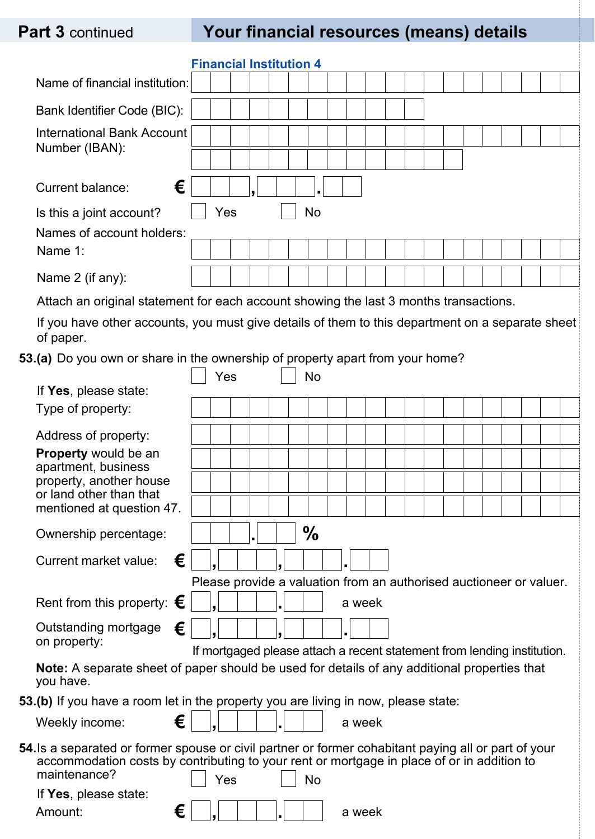|                                                                                                                                                                                                                    |                                                                                                                     |     |  | <b>Financial Institution 4</b> |  |  |               |  |        |  |  |  |  |  |  |  |                                                                         |  |
|--------------------------------------------------------------------------------------------------------------------------------------------------------------------------------------------------------------------|---------------------------------------------------------------------------------------------------------------------|-----|--|--------------------------------|--|--|---------------|--|--------|--|--|--|--|--|--|--|-------------------------------------------------------------------------|--|
| Name of financial institution:                                                                                                                                                                                     |                                                                                                                     |     |  |                                |  |  |               |  |        |  |  |  |  |  |  |  |                                                                         |  |
| Bank Identifier Code (BIC):                                                                                                                                                                                        |                                                                                                                     |     |  |                                |  |  |               |  |        |  |  |  |  |  |  |  |                                                                         |  |
| <b>International Bank Account</b>                                                                                                                                                                                  |                                                                                                                     |     |  |                                |  |  |               |  |        |  |  |  |  |  |  |  |                                                                         |  |
| Number (IBAN):                                                                                                                                                                                                     |                                                                                                                     |     |  |                                |  |  |               |  |        |  |  |  |  |  |  |  |                                                                         |  |
| €<br><b>Current balance:</b>                                                                                                                                                                                       |                                                                                                                     |     |  |                                |  |  |               |  |        |  |  |  |  |  |  |  |                                                                         |  |
| Is this a joint account?                                                                                                                                                                                           |                                                                                                                     | Yes |  |                                |  |  | No            |  |        |  |  |  |  |  |  |  |                                                                         |  |
| Names of account holders:                                                                                                                                                                                          |                                                                                                                     |     |  |                                |  |  |               |  |        |  |  |  |  |  |  |  |                                                                         |  |
| Name 1:                                                                                                                                                                                                            |                                                                                                                     |     |  |                                |  |  |               |  |        |  |  |  |  |  |  |  |                                                                         |  |
| Name 2 (if any):                                                                                                                                                                                                   |                                                                                                                     |     |  |                                |  |  |               |  |        |  |  |  |  |  |  |  |                                                                         |  |
| Attach an original statement for each account showing the last 3 months transactions.                                                                                                                              |                                                                                                                     |     |  |                                |  |  |               |  |        |  |  |  |  |  |  |  |                                                                         |  |
| If you have other accounts, you must give details of them to this department on a separate sheet<br>of paper.                                                                                                      |                                                                                                                     |     |  |                                |  |  |               |  |        |  |  |  |  |  |  |  |                                                                         |  |
|                                                                                                                                                                                                                    |                                                                                                                     |     |  |                                |  |  |               |  |        |  |  |  |  |  |  |  |                                                                         |  |
|                                                                                                                                                                                                                    | 53.(a) Do you own or share in the ownership of property apart from your home?<br>Yes<br>No<br>If Yes, please state: |     |  |                                |  |  |               |  |        |  |  |  |  |  |  |  |                                                                         |  |
|                                                                                                                                                                                                                    |                                                                                                                     |     |  |                                |  |  |               |  |        |  |  |  |  |  |  |  |                                                                         |  |
| Type of property:                                                                                                                                                                                                  |                                                                                                                     |     |  |                                |  |  |               |  |        |  |  |  |  |  |  |  |                                                                         |  |
| Address of property:                                                                                                                                                                                               |                                                                                                                     |     |  |                                |  |  |               |  |        |  |  |  |  |  |  |  |                                                                         |  |
| <b>Property</b> would be an<br>apartment, business                                                                                                                                                                 |                                                                                                                     |     |  |                                |  |  |               |  |        |  |  |  |  |  |  |  |                                                                         |  |
| property, another house                                                                                                                                                                                            |                                                                                                                     |     |  |                                |  |  |               |  |        |  |  |  |  |  |  |  |                                                                         |  |
| or land other than that                                                                                                                                                                                            |                                                                                                                     |     |  |                                |  |  |               |  |        |  |  |  |  |  |  |  |                                                                         |  |
| mentioned at question 47.                                                                                                                                                                                          |                                                                                                                     |     |  |                                |  |  |               |  |        |  |  |  |  |  |  |  |                                                                         |  |
| Ownership percentage:                                                                                                                                                                                              |                                                                                                                     |     |  |                                |  |  | $\frac{0}{0}$ |  |        |  |  |  |  |  |  |  |                                                                         |  |
| €<br>Current market value:                                                                                                                                                                                         |                                                                                                                     |     |  |                                |  |  |               |  |        |  |  |  |  |  |  |  |                                                                         |  |
|                                                                                                                                                                                                                    |                                                                                                                     |     |  |                                |  |  |               |  |        |  |  |  |  |  |  |  | Please provide a valuation from an authorised auctioneer or valuer.     |  |
| Rent from this property: $\epsilon$                                                                                                                                                                                |                                                                                                                     |     |  |                                |  |  |               |  | a week |  |  |  |  |  |  |  |                                                                         |  |
| Outstanding mortgage<br>€                                                                                                                                                                                          |                                                                                                                     |     |  |                                |  |  |               |  |        |  |  |  |  |  |  |  |                                                                         |  |
| on property:                                                                                                                                                                                                       |                                                                                                                     |     |  |                                |  |  |               |  |        |  |  |  |  |  |  |  | If mortgaged please attach a recent statement from lending institution. |  |
| <b>Note:</b> A separate sheet of paper should be used for details of any additional properties that<br>you have.                                                                                                   |                                                                                                                     |     |  |                                |  |  |               |  |        |  |  |  |  |  |  |  |                                                                         |  |
| 53.(b) If you have a room let in the property you are living in now, please state:                                                                                                                                 |                                                                                                                     |     |  |                                |  |  |               |  |        |  |  |  |  |  |  |  |                                                                         |  |
| €<br>Weekly income:                                                                                                                                                                                                |                                                                                                                     |     |  |                                |  |  |               |  | a week |  |  |  |  |  |  |  |                                                                         |  |
| 54. Is a separated or former spouse or civil partner or former cohabitant paying all or part of your<br>accommodation costs by contributing to your rent or mortgage in place of or in addition to<br>maintenance? |                                                                                                                     | Yes |  |                                |  |  | <b>No</b>     |  |        |  |  |  |  |  |  |  |                                                                         |  |
| If Yes, please state:                                                                                                                                                                                              |                                                                                                                     |     |  |                                |  |  |               |  |        |  |  |  |  |  |  |  |                                                                         |  |
| €<br>Amount:                                                                                                                                                                                                       |                                                                                                                     |     |  |                                |  |  |               |  | a week |  |  |  |  |  |  |  |                                                                         |  |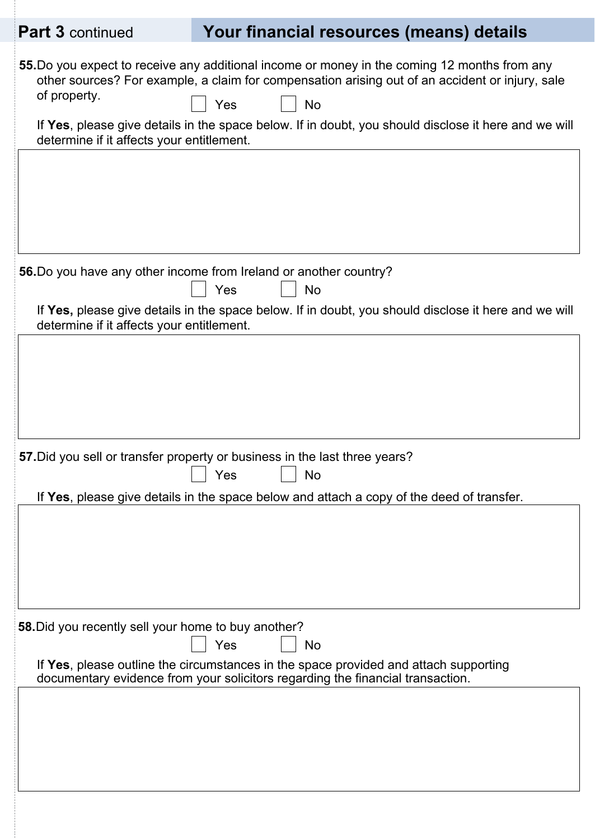| <b>Part 3 continued</b>                             | Your financial resources (means) details                                                                                                                                                                            |
|-----------------------------------------------------|---------------------------------------------------------------------------------------------------------------------------------------------------------------------------------------------------------------------|
| of property.                                        | 55. Do you expect to receive any additional income or money in the coming 12 months from any<br>other sources? For example, a claim for compensation arising out of an accident or injury, sale<br>Yes<br><b>No</b> |
| determine if it affects your entitlement.           | If Yes, please give details in the space below. If in doubt, you should disclose it here and we will                                                                                                                |
|                                                     |                                                                                                                                                                                                                     |
|                                                     |                                                                                                                                                                                                                     |
|                                                     |                                                                                                                                                                                                                     |
|                                                     | 56. Do you have any other income from Ireland or another country?<br>Yes<br><b>No</b>                                                                                                                               |
| determine if it affects your entitlement.           | If Yes, please give details in the space below. If in doubt, you should disclose it here and we will                                                                                                                |
|                                                     |                                                                                                                                                                                                                     |
|                                                     |                                                                                                                                                                                                                     |
|                                                     |                                                                                                                                                                                                                     |
|                                                     | 57. Did you sell or transfer property or business in the last three years?<br>No<br>Yes                                                                                                                             |
|                                                     | If Yes, please give details in the space below and attach a copy of the deed of transfer.                                                                                                                           |
|                                                     |                                                                                                                                                                                                                     |
|                                                     |                                                                                                                                                                                                                     |
|                                                     |                                                                                                                                                                                                                     |
| 58. Did you recently sell your home to buy another? | Yes<br>No                                                                                                                                                                                                           |
|                                                     | If Yes, please outline the circumstances in the space provided and attach supporting<br>documentary evidence from your solicitors regarding the financial transaction.                                              |
|                                                     |                                                                                                                                                                                                                     |
|                                                     |                                                                                                                                                                                                                     |
|                                                     |                                                                                                                                                                                                                     |
|                                                     |                                                                                                                                                                                                                     |
|                                                     |                                                                                                                                                                                                                     |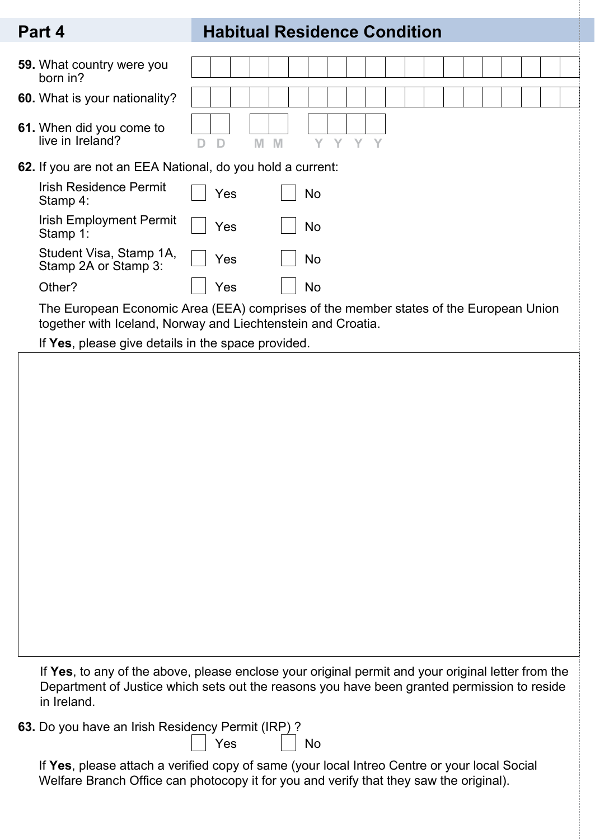## **Part 4 Habitual Residence Condition**

| <b>59.</b> What country were you<br>born in?                                                                                                          |        |        |        |  |  |  |  |  |
|-------------------------------------------------------------------------------------------------------------------------------------------------------|--------|--------|--------|--|--|--|--|--|
| 60. What is your nationality?                                                                                                                         |        |        |        |  |  |  |  |  |
| 61. When did you come to<br>live in Ireland?                                                                                                          | D<br>D | M<br>M | Y<br>Y |  |  |  |  |  |
| 62. If you are not an EEA National, do you hold a current:                                                                                            |        |        |        |  |  |  |  |  |
| Irish Residence Permit<br>Stamp 4:                                                                                                                    | Yes    | No     |        |  |  |  |  |  |
| <b>Irish Employment Permit</b><br>Stamp 1:                                                                                                            | Yes    | No     |        |  |  |  |  |  |
| Student Visa, Stamp 1A,<br>Stamp 2A or Stamp 3:                                                                                                       | Yes    | No     |        |  |  |  |  |  |
| Other?                                                                                                                                                | Yes    | No     |        |  |  |  |  |  |
| The European Economic Area (EEA) comprises of the member states of the European Union<br>together with Iceland, Norway and Liechtenstein and Croatia. |        |        |        |  |  |  |  |  |

If **Yes**, please give details in the space provided.

If **Yes**, to any of the above, please enclose your original permit and your original letter from the Department of Justice which sets out the reasons you have been granted permission to reside in Ireland.

**63.** Do you have an Irish Residency Permit (IRP) ?

 $\vert$  Yes  $\vert$   $\vert$  No

If **Yes**, please attach a verified copy of same (your local Intreo Centre or your local Social Welfare Branch Office can photocopy it for you and verify that they saw the original).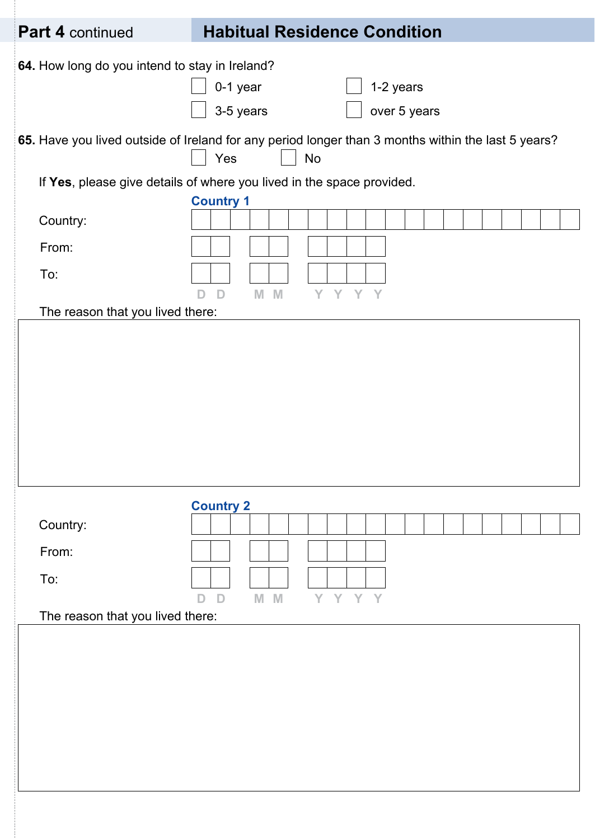| Part 4 continued                               | <b>Habitual Residence Condition</b>                                                                                    |
|------------------------------------------------|------------------------------------------------------------------------------------------------------------------------|
| 64. How long do you intend to stay in Ireland? |                                                                                                                        |
|                                                | 0-1 year<br>1-2 years                                                                                                  |
|                                                | 3-5 years<br>over 5 years                                                                                              |
|                                                | 65. Have you lived outside of Ireland for any period longer than 3 months within the last 5 years?<br>Yes<br><b>No</b> |
|                                                | If Yes, please give details of where you lived in the space provided.                                                  |
| Country:                                       | <b>Country 1</b>                                                                                                       |
| From:                                          |                                                                                                                        |
| To:                                            |                                                                                                                        |
|                                                | $M$ $M$<br>Y Y Y Y<br>D<br>D                                                                                           |
| The reason that you lived there:               |                                                                                                                        |
|                                                |                                                                                                                        |
|                                                | <b>Country 2</b>                                                                                                       |
| Country:                                       |                                                                                                                        |
| From:                                          |                                                                                                                        |
| To:                                            |                                                                                                                        |
| The reason that you lived there:               | $M$ $M$<br>Y Y Y Y<br>D<br>D                                                                                           |
|                                                |                                                                                                                        |
|                                                |                                                                                                                        |
|                                                |                                                                                                                        |
|                                                |                                                                                                                        |
|                                                |                                                                                                                        |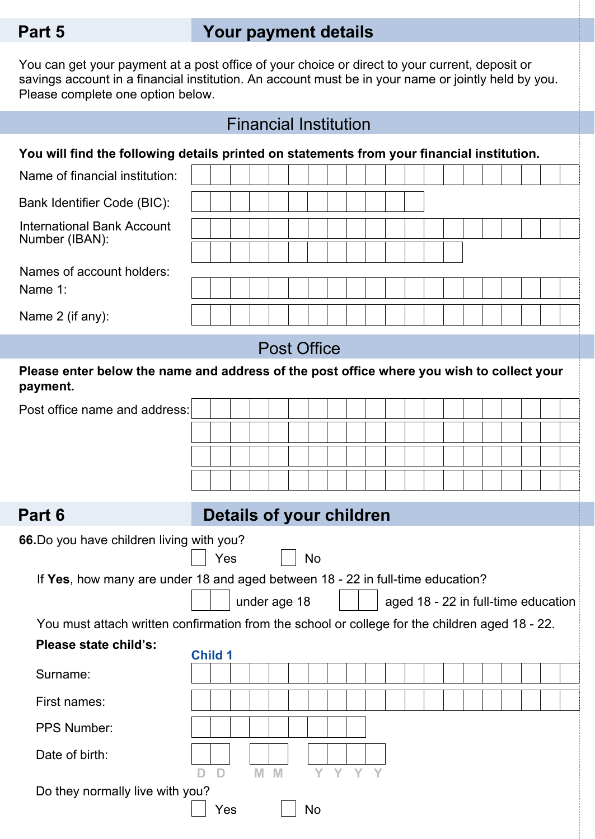## **Part 5 Your payment details**

You can get your payment at a post office of your choice or direct to your current, deposit or savings account in a financial institution. An account must be in your name or jointly held by you. Please complete one option below.

|                                                                                                       |                |                          | <b>Financial Institution</b> |                    |           |         |  |  |  |  |  |                                     |  |
|-------------------------------------------------------------------------------------------------------|----------------|--------------------------|------------------------------|--------------------|-----------|---------|--|--|--|--|--|-------------------------------------|--|
| You will find the following details printed on statements from your financial institution.            |                |                          |                              |                    |           |         |  |  |  |  |  |                                     |  |
| Name of financial institution:                                                                        |                |                          |                              |                    |           |         |  |  |  |  |  |                                     |  |
| Bank Identifier Code (BIC):                                                                           |                |                          |                              |                    |           |         |  |  |  |  |  |                                     |  |
| <b>International Bank Account</b>                                                                     |                |                          |                              |                    |           |         |  |  |  |  |  |                                     |  |
| Number (IBAN):                                                                                        |                |                          |                              |                    |           |         |  |  |  |  |  |                                     |  |
| Names of account holders:                                                                             |                |                          |                              |                    |           |         |  |  |  |  |  |                                     |  |
| Name 1:                                                                                               |                |                          |                              |                    |           |         |  |  |  |  |  |                                     |  |
| Name 2 (if any):                                                                                      |                |                          |                              |                    |           |         |  |  |  |  |  |                                     |  |
|                                                                                                       |                |                          |                              | <b>Post Office</b> |           |         |  |  |  |  |  |                                     |  |
| Please enter below the name and address of the post office where you wish to collect your<br>payment. |                |                          |                              |                    |           |         |  |  |  |  |  |                                     |  |
| Post office name and address:                                                                         |                |                          |                              |                    |           |         |  |  |  |  |  |                                     |  |
|                                                                                                       |                |                          |                              |                    |           |         |  |  |  |  |  |                                     |  |
|                                                                                                       |                |                          |                              |                    |           |         |  |  |  |  |  |                                     |  |
|                                                                                                       |                |                          |                              |                    |           |         |  |  |  |  |  |                                     |  |
| Part 6                                                                                                |                | Details of your children |                              |                    |           |         |  |  |  |  |  |                                     |  |
| 66. Do you have children living with you?                                                             |                |                          |                              |                    |           |         |  |  |  |  |  |                                     |  |
|                                                                                                       |                | Yes                      |                              |                    | <b>No</b> |         |  |  |  |  |  |                                     |  |
| If Yes, how many are under 18 and aged between 18 - 22 in full-time education?                        |                |                          |                              |                    |           |         |  |  |  |  |  |                                     |  |
|                                                                                                       |                |                          | under age 18                 |                    |           |         |  |  |  |  |  | aged 18 - 22 in full-time education |  |
| You must attach written confirmation from the school or college for the children aged 18 - 22.        |                |                          |                              |                    |           |         |  |  |  |  |  |                                     |  |
| Please state child's:                                                                                 | <b>Child 1</b> |                          |                              |                    |           |         |  |  |  |  |  |                                     |  |
| Surname:                                                                                              |                |                          |                              |                    |           |         |  |  |  |  |  |                                     |  |
| First names:                                                                                          |                |                          |                              |                    |           |         |  |  |  |  |  |                                     |  |
| PPS Number:                                                                                           |                |                          |                              |                    |           |         |  |  |  |  |  |                                     |  |
| Date of birth:                                                                                        |                |                          |                              |                    |           |         |  |  |  |  |  |                                     |  |
|                                                                                                       | D              | D                        |                              | $M$ M              |           | Y Y Y Y |  |  |  |  |  |                                     |  |
| Do they normally live with you?                                                                       |                | Yes                      |                              |                    | No        |         |  |  |  |  |  |                                     |  |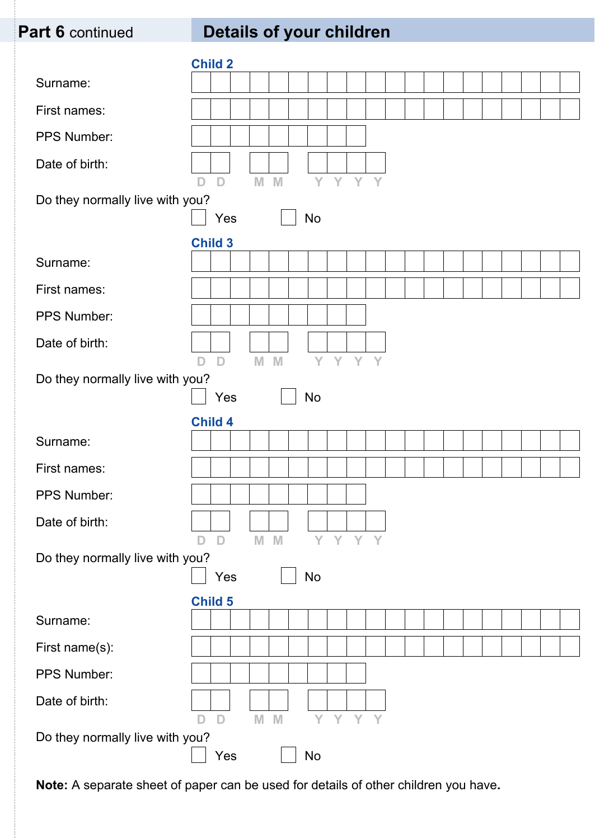# **Part 6 continued Details of your children**

|                                 |   | <b>Child 2</b> |   |             |    |              |     |     |  |  |  |  |  |
|---------------------------------|---|----------------|---|-------------|----|--------------|-----|-----|--|--|--|--|--|
| Surname:                        |   |                |   |             |    |              |     |     |  |  |  |  |  |
| First names:                    |   |                |   |             |    |              |     |     |  |  |  |  |  |
| PPS Number:                     |   |                |   |             |    |              |     |     |  |  |  |  |  |
| Date of birth:                  |   |                |   |             |    |              |     |     |  |  |  |  |  |
|                                 | D | $\Box$         | M | M           |    | Y Y Y Y      |     |     |  |  |  |  |  |
| Do they normally live with you? |   | Yes            |   |             | No |              |     |     |  |  |  |  |  |
|                                 |   | <b>Child 3</b> |   |             |    |              |     |     |  |  |  |  |  |
| Surname:                        |   |                |   |             |    |              |     |     |  |  |  |  |  |
| First names:                    |   |                |   |             |    |              |     |     |  |  |  |  |  |
| PPS Number:                     |   |                |   |             |    |              |     |     |  |  |  |  |  |
| Date of birth:                  |   |                |   |             |    |              |     |     |  |  |  |  |  |
|                                 | D | $\Box$         |   | $M$ $M$     | Y  | $\mathbf{Y}$ |     | Y Y |  |  |  |  |  |
| Do they normally live with you? |   | Yes            |   |             | No |              |     |     |  |  |  |  |  |
|                                 |   | <b>Child 4</b> |   |             |    |              |     |     |  |  |  |  |  |
| Surname:                        |   |                |   |             |    |              |     |     |  |  |  |  |  |
| First names:                    |   |                |   |             |    |              |     |     |  |  |  |  |  |
| PPS Number:                     |   |                |   |             |    |              |     |     |  |  |  |  |  |
|                                 |   |                |   |             |    |              |     |     |  |  |  |  |  |
| Date of birth:                  |   |                |   |             |    |              |     |     |  |  |  |  |  |
|                                 |   | D              | M | M           |    |              |     |     |  |  |  |  |  |
| Do they normally live with you? |   | Yes            |   |             | No |              |     |     |  |  |  |  |  |
|                                 |   | <b>Child 5</b> |   |             |    |              |     |     |  |  |  |  |  |
| Surname:                        |   |                |   |             |    |              |     |     |  |  |  |  |  |
| First name(s):                  |   |                |   |             |    |              |     |     |  |  |  |  |  |
| PPS Number:                     |   |                |   |             |    |              |     |     |  |  |  |  |  |
| Date of birth:                  |   |                |   |             |    |              |     |     |  |  |  |  |  |
| Do they normally live with you? | D | $\Box$         | M | $\mathbb N$ | Y  | Y            | Y Y |     |  |  |  |  |  |

**Note:** A separate sheet of paper can be used for details of other children you have**.**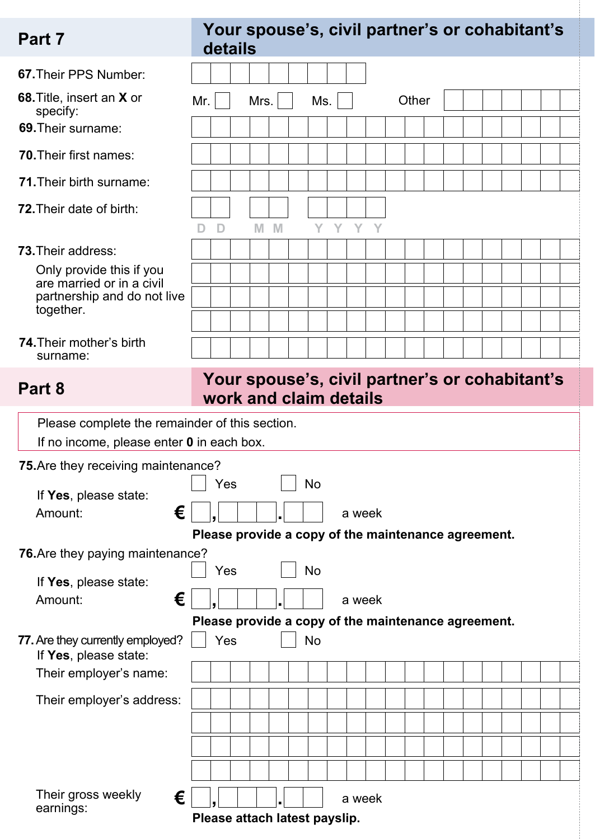| Part 7                                                                                      |     | details |      |     |                                 |                        |         |  |       |  |  |  | Your spouse's, civil partner's or cohabitant's |  |
|---------------------------------------------------------------------------------------------|-----|---------|------|-----|---------------------------------|------------------------|---------|--|-------|--|--|--|------------------------------------------------|--|
| <b>67. Their PPS Number:</b>                                                                |     |         |      |     |                                 |                        |         |  |       |  |  |  |                                                |  |
| <b>68.</b> Title, insert an <b>X</b> or<br>specify:                                         | Mr. |         | Mrs. |     |                                 | Ms.                    |         |  | Other |  |  |  |                                                |  |
| 69. Their surname:                                                                          |     |         |      |     |                                 |                        |         |  |       |  |  |  |                                                |  |
| <b>70. Their first names:</b>                                                               |     |         |      |     |                                 |                        |         |  |       |  |  |  |                                                |  |
| <b>71. Their birth surname:</b>                                                             |     |         |      |     |                                 |                        |         |  |       |  |  |  |                                                |  |
| <b>72. Their date of birth:</b>                                                             |     |         |      |     |                                 |                        |         |  |       |  |  |  |                                                |  |
|                                                                                             | D   | D       |      | M M |                                 |                        | Y Y Y Y |  |       |  |  |  |                                                |  |
| 73. Their address:                                                                          |     |         |      |     |                                 |                        |         |  |       |  |  |  |                                                |  |
| Only provide this if you<br>are married or in a civil                                       |     |         |      |     |                                 |                        |         |  |       |  |  |  |                                                |  |
| partnership and do not live                                                                 |     |         |      |     |                                 |                        |         |  |       |  |  |  |                                                |  |
| together.                                                                                   |     |         |      |     |                                 |                        |         |  |       |  |  |  |                                                |  |
| <b>74. Their mother's birth</b><br>surname:                                                 |     |         |      |     |                                 |                        |         |  |       |  |  |  |                                                |  |
| Part 8                                                                                      |     |         |      |     |                                 | work and claim details |         |  |       |  |  |  | Your spouse's, civil partner's or cohabitant's |  |
| Please complete the remainder of this section.<br>If no income, please enter 0 in each box. |     |         |      |     |                                 |                        |         |  |       |  |  |  |                                                |  |
| <b>75. Are they receiving maintenance?</b>                                                  |     |         |      |     | the contract of the contract of |                        |         |  |       |  |  |  |                                                |  |

| <b>75.</b> Are they receiving maintenance?                |                                                     |
|-----------------------------------------------------------|-----------------------------------------------------|
|                                                           | Yes<br>No                                           |
| If Yes, please state:<br>€<br>Amount:                     | a week                                              |
|                                                           | Please provide a copy of the maintenance agreement. |
| <b>76.</b> Are they paying maintenance?                   |                                                     |
| If Yes, please state:                                     | Yes<br>No                                           |
| €<br>Amount:                                              | a week                                              |
|                                                           | Please provide a copy of the maintenance agreement. |
| 77. Are they currently employed?<br>If Yes, please state: | Yes<br>No                                           |
| Their employer's name:                                    |                                                     |
| Their employer's address:                                 |                                                     |
|                                                           |                                                     |
|                                                           |                                                     |
|                                                           |                                                     |
| Their gross weekly<br>€<br>earnings:                      | a week<br>Please attach latest payslip.             |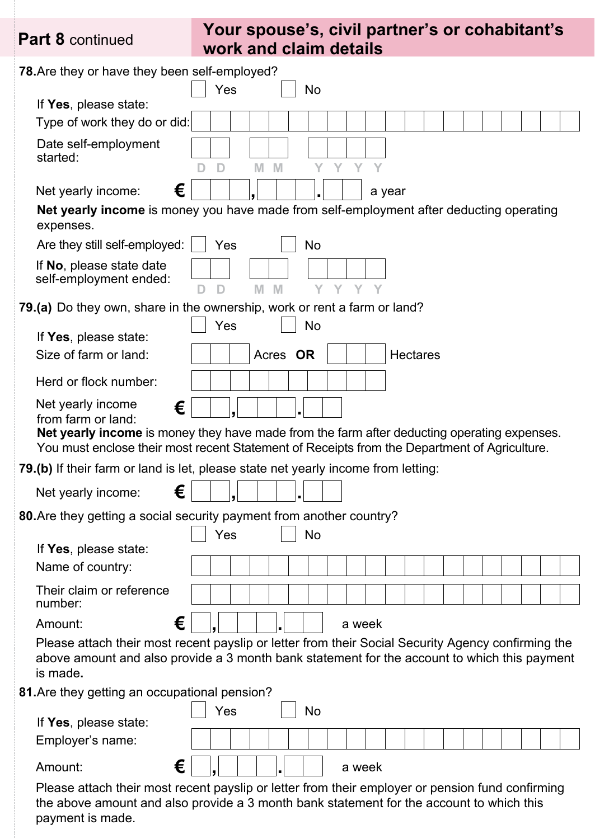## **Your spouse's, civil partner's or cohabitant's work and claim details Part 8** continued

| <b>78.</b> Are they or have they been self-employed?                                                                                                                                                                                        |        |          |    |              |        |        |                 |  |  |  |
|---------------------------------------------------------------------------------------------------------------------------------------------------------------------------------------------------------------------------------------------|--------|----------|----|--------------|--------|--------|-----------------|--|--|--|
|                                                                                                                                                                                                                                             | Yes    |          | No |              |        |        |                 |  |  |  |
| If Yes, please state:                                                                                                                                                                                                                       |        |          |    |              |        |        |                 |  |  |  |
| Type of work they do or did:                                                                                                                                                                                                                |        |          |    |              |        |        |                 |  |  |  |
| Date self-employment<br>started:                                                                                                                                                                                                            | D<br>D | M<br>M   | Y  | $\mathbf{Y}$ | Y<br>Y |        |                 |  |  |  |
|                                                                                                                                                                                                                                             |        |          |    |              |        |        |                 |  |  |  |
| €<br>Net yearly income:                                                                                                                                                                                                                     |        |          |    |              |        | a year |                 |  |  |  |
| Net yearly income is money you have made from self-employment after deducting operating<br>expenses.                                                                                                                                        |        |          |    |              |        |        |                 |  |  |  |
| Are they still self-employed:                                                                                                                                                                                                               | Yes    |          | No |              |        |        |                 |  |  |  |
| If No, please state date<br>self-employment ended:                                                                                                                                                                                          | D<br>D | $M$ M    |    | Y Y Y Y      |        |        |                 |  |  |  |
| 79.(a) Do they own, share in the ownership, work or rent a farm or land?                                                                                                                                                                    |        |          |    |              |        |        |                 |  |  |  |
|                                                                                                                                                                                                                                             | Yes    |          | No |              |        |        |                 |  |  |  |
| If Yes, please state:                                                                                                                                                                                                                       |        |          |    |              |        |        |                 |  |  |  |
| Size of farm or land:                                                                                                                                                                                                                       |        | Acres OR |    |              |        |        | <b>Hectares</b> |  |  |  |
| Herd or flock number:                                                                                                                                                                                                                       |        |          |    |              |        |        |                 |  |  |  |
| Net yearly income<br>€<br>from farm or land:<br>Net yearly income is money they have made from the farm after deducting operating expenses.<br>You must enclose their most recent Statement of Receipts from the Department of Agriculture. |        |          |    |              |        |        |                 |  |  |  |
| 79.(b) If their farm or land is let, please state net yearly income from letting:                                                                                                                                                           |        |          |    |              |        |        |                 |  |  |  |
| €<br>Net yearly income:                                                                                                                                                                                                                     |        |          |    |              |        |        |                 |  |  |  |
| 80. Are they getting a social security payment from another country?                                                                                                                                                                        |        |          |    |              |        |        |                 |  |  |  |
|                                                                                                                                                                                                                                             | Yes    |          | No |              |        |        |                 |  |  |  |
| If Yes, please state:                                                                                                                                                                                                                       |        |          |    |              |        |        |                 |  |  |  |
| Name of country:                                                                                                                                                                                                                            |        |          |    |              |        |        |                 |  |  |  |
| Their claim or reference<br>number:                                                                                                                                                                                                         |        |          |    |              |        |        |                 |  |  |  |
| €<br>Amount:                                                                                                                                                                                                                                |        |          |    |              | a week |        |                 |  |  |  |
| Please attach their most recent payslip or letter from their Social Security Agency confirming the<br>above amount and also provide a 3 month bank statement for the account to which this payment<br>is made.                              |        |          |    |              |        |        |                 |  |  |  |
| 81. Are they getting an occupational pension?                                                                                                                                                                                               |        |          |    |              |        |        |                 |  |  |  |
|                                                                                                                                                                                                                                             | Yes    |          | No |              |        |        |                 |  |  |  |
| If Yes, please state:                                                                                                                                                                                                                       |        |          |    |              |        |        |                 |  |  |  |
| Employer's name:                                                                                                                                                                                                                            |        |          |    |              |        |        |                 |  |  |  |
| €<br>Amount:                                                                                                                                                                                                                                |        |          |    |              | a week |        |                 |  |  |  |
| Please attach their most recent payslip or letter from their employer or pension fund confirming<br>the above amount and also provide a 3 month bank statement for the account to which this                                                |        |          |    |              |        |        |                 |  |  |  |

payment is made.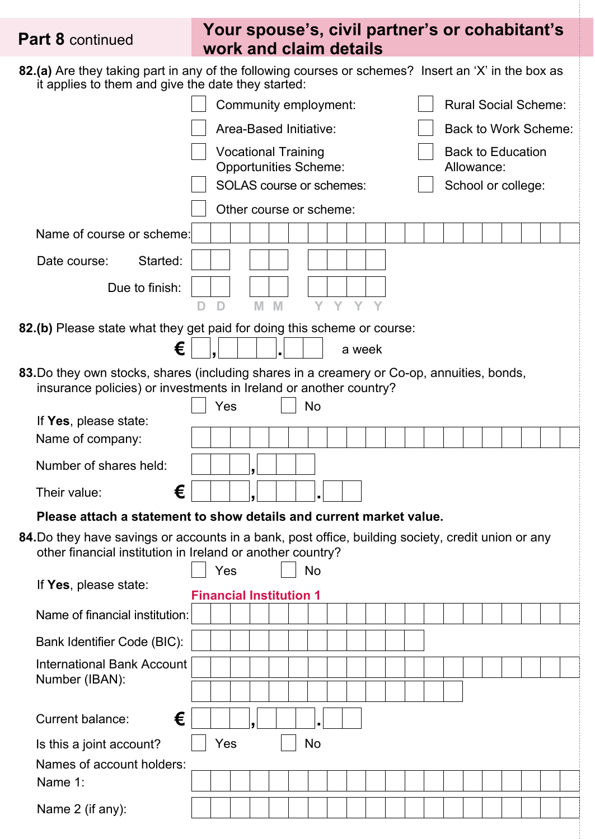## **Part 8** continued **Part 8** continued **Part 8** continued **work and claim details**

**82.(a)** Are they taking part in any of the following courses or schemes? Insert an 'X' in the box as it applies to them and give the date they started:

|                                                                                                    |   |                                | Community employment:           |   |           |              |        |  |  | <b>Rural Social Scheme:</b> |  |  |  |
|----------------------------------------------------------------------------------------------------|---|--------------------------------|---------------------------------|---|-----------|--------------|--------|--|--|-----------------------------|--|--|--|
|                                                                                                    |   |                                | Area-Based Initiative:          |   |           |              |        |  |  | <b>Back to Work Scheme:</b> |  |  |  |
|                                                                                                    |   |                                | <b>Vocational Training</b>      |   |           |              |        |  |  | <b>Back to Education</b>    |  |  |  |
|                                                                                                    |   |                                | <b>Opportunities Scheme:</b>    |   |           |              |        |  |  | Allowance:                  |  |  |  |
|                                                                                                    |   |                                | <b>SOLAS</b> course or schemes: |   |           |              |        |  |  | School or college:          |  |  |  |
|                                                                                                    |   |                                | Other course or scheme:         |   |           |              |        |  |  |                             |  |  |  |
| Name of course or scheme:                                                                          |   |                                |                                 |   |           |              |        |  |  |                             |  |  |  |
| Started:<br>Date course:                                                                           |   |                                |                                 |   |           |              |        |  |  |                             |  |  |  |
| Due to finish:                                                                                     |   |                                |                                 |   |           |              |        |  |  |                             |  |  |  |
|                                                                                                    | D | D                              | M                               | M | Y         | $\mathbf{Y}$ | Y Y    |  |  |                             |  |  |  |
| 82.(b) Please state what they get paid for doing this scheme or course:                            |   |                                |                                 |   |           |              |        |  |  |                             |  |  |  |
| €                                                                                                  |   |                                |                                 |   |           |              | a week |  |  |                             |  |  |  |
| 83. Do they own stocks, shares (including shares in a creamery or Co-op, annuities, bonds,         |   |                                |                                 |   |           |              |        |  |  |                             |  |  |  |
| insurance policies) or investments in Ireland or another country?                                  |   |                                |                                 |   |           |              |        |  |  |                             |  |  |  |
|                                                                                                    |   | Yes                            |                                 |   | <b>No</b> |              |        |  |  |                             |  |  |  |
| If Yes, please state:                                                                              |   |                                |                                 |   |           |              |        |  |  |                             |  |  |  |
| Name of company:                                                                                   |   |                                |                                 |   |           |              |        |  |  |                             |  |  |  |
| Number of shares held:                                                                             |   |                                |                                 |   |           |              |        |  |  |                             |  |  |  |
| €<br>Their value:                                                                                  |   |                                |                                 |   |           |              |        |  |  |                             |  |  |  |
| Please attach a statement to show details and current market value.                                |   |                                |                                 |   |           |              |        |  |  |                             |  |  |  |
| 84. Do they have savings or accounts in a bank, post office, building society, credit union or any |   |                                |                                 |   |           |              |        |  |  |                             |  |  |  |
| other financial institution in Ireland or another country?                                         |   |                                |                                 |   |           |              |        |  |  |                             |  |  |  |
| If Yes, please state:                                                                              |   | Yes                            |                                 |   | No        |              |        |  |  |                             |  |  |  |
|                                                                                                    |   | <b>Financial Institution 1</b> |                                 |   |           |              |        |  |  |                             |  |  |  |
| Name of financial institution:                                                                     |   |                                |                                 |   |           |              |        |  |  |                             |  |  |  |
| Bank Identifier Code (BIC):                                                                        |   |                                |                                 |   |           |              |        |  |  |                             |  |  |  |
| <b>International Bank Account</b>                                                                  |   |                                |                                 |   |           |              |        |  |  |                             |  |  |  |
| Number (IBAN):                                                                                     |   |                                |                                 |   |           |              |        |  |  |                             |  |  |  |
| €<br>Current balance:                                                                              |   |                                |                                 |   |           |              |        |  |  |                             |  |  |  |
| Is this a joint account?                                                                           |   | Yes                            |                                 |   | No        |              |        |  |  |                             |  |  |  |
| Names of account holders:                                                                          |   |                                |                                 |   |           |              |        |  |  |                             |  |  |  |
| Name 1:                                                                                            |   |                                |                                 |   |           |              |        |  |  |                             |  |  |  |
| Name 2 (if any):                                                                                   |   |                                |                                 |   |           |              |        |  |  |                             |  |  |  |
|                                                                                                    |   |                                |                                 |   |           |              |        |  |  |                             |  |  |  |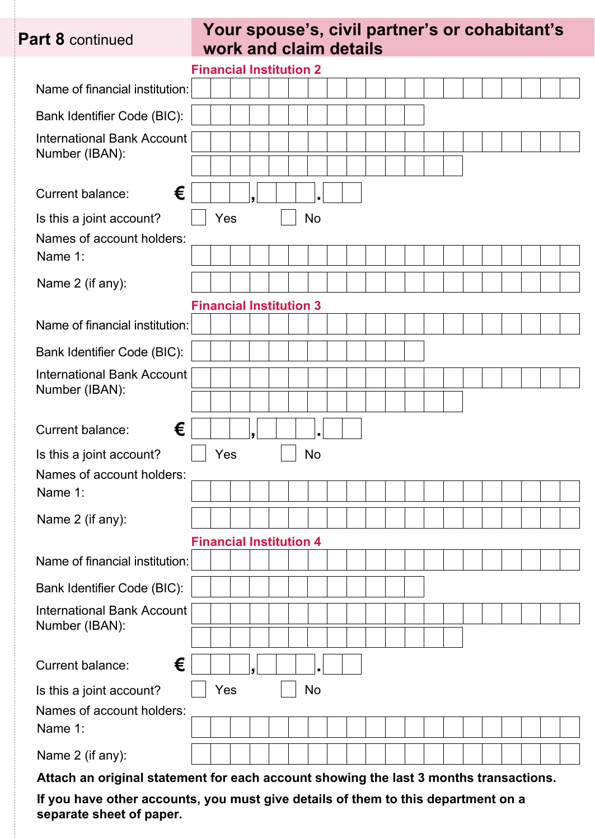## **Your spouse's, civil partner's or cohabitant's work and claim details Part 8** continued

| <b>Financial Institution 2</b>                        |  |
|-------------------------------------------------------|--|
| Name of financial institution:                        |  |
| Bank Identifier Code (BIC):                           |  |
| <b>International Bank Account</b>                     |  |
| Number (IBAN):                                        |  |
| €<br><b>Current balance:</b>                          |  |
| <b>No</b><br>Yes<br>Is this a joint account?          |  |
| Names of account holders:                             |  |
| Name 1:                                               |  |
| Name 2 (if any):                                      |  |
| <b>Financial Institution 3</b>                        |  |
| Name of financial institution:                        |  |
| Bank Identifier Code (BIC):                           |  |
| <b>International Bank Account</b>                     |  |
| Number (IBAN):                                        |  |
|                                                       |  |
| €<br><b>Current balance:</b>                          |  |
| Yes<br>No                                             |  |
| Is this a joint account?<br>Names of account holders: |  |
| Name 1:                                               |  |
| Name 2 (if any):                                      |  |
| <b>Financial Institution 4</b>                        |  |
| Name of financial institution:                        |  |
| Bank Identifier Code (BIC):                           |  |
| <b>International Bank Account</b>                     |  |
| Number (IBAN):                                        |  |
|                                                       |  |
| €<br><b>Current balance:</b>                          |  |
| Yes<br>No<br>Is this a joint account?                 |  |
| Names of account holders:<br>Name 1:                  |  |

**Attach an original statement for each account showing the last 3 months transactions.**

**If you have other accounts, you must give details of them to this department on a separate sheet of paper.**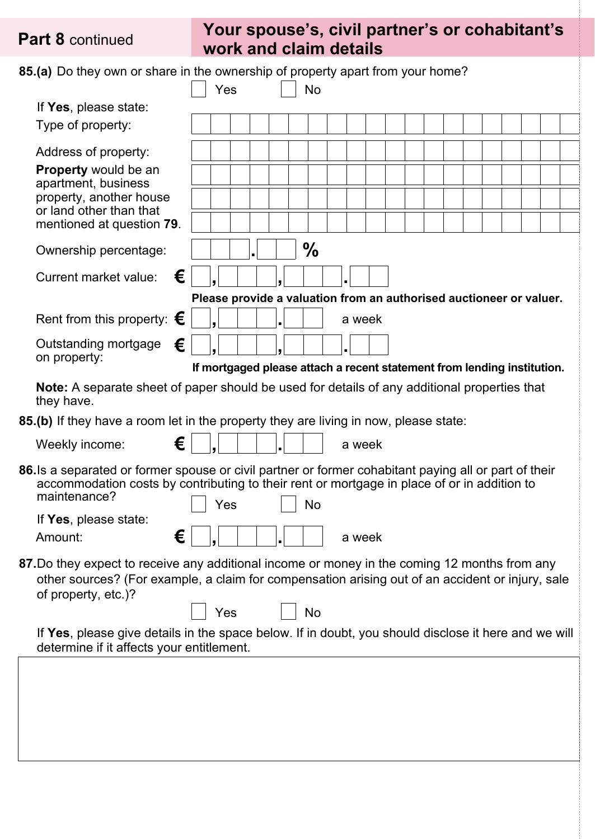## **Part 8** continued **Your spouse's, civil partner's or cohabitant's work and claim details**

| 85.(a) Do they own or share in the ownership of property apart from your home?                                                                                                                                           | Yes                                                                     |  | No            |        |  |  |  |  |  |
|--------------------------------------------------------------------------------------------------------------------------------------------------------------------------------------------------------------------------|-------------------------------------------------------------------------|--|---------------|--------|--|--|--|--|--|
| If Yes, please state:<br>Type of property:                                                                                                                                                                               |                                                                         |  |               |        |  |  |  |  |  |
| Address of property:<br><b>Property</b> would be an<br>apartment, business                                                                                                                                               |                                                                         |  |               |        |  |  |  |  |  |
| property, another house<br>or land other than that<br>mentioned at question 79.                                                                                                                                          |                                                                         |  |               |        |  |  |  |  |  |
| Ownership percentage:                                                                                                                                                                                                    |                                                                         |  | $\frac{0}{0}$ |        |  |  |  |  |  |
| €<br><b>Current market value:</b>                                                                                                                                                                                        |                                                                         |  |               |        |  |  |  |  |  |
|                                                                                                                                                                                                                          | Please provide a valuation from an authorised auctioneer or valuer.     |  |               |        |  |  |  |  |  |
| Rent from this property: $\epsilon$                                                                                                                                                                                      |                                                                         |  |               | a week |  |  |  |  |  |
| €<br>Outstanding mortgage<br>on property:                                                                                                                                                                                | If mortgaged please attach a recent statement from lending institution. |  |               |        |  |  |  |  |  |
| <b>Note:</b> A separate sheet of paper should be used for details of any additional properties that<br>they have.                                                                                                        |                                                                         |  |               |        |  |  |  |  |  |
| 85.(b) If they have a room let in the property they are living in now, please state:                                                                                                                                     |                                                                         |  |               |        |  |  |  |  |  |
| €<br>Weekly income:                                                                                                                                                                                                      |                                                                         |  |               | a week |  |  |  |  |  |
| 86. Is a separated or former spouse or civil partner or former cohabitant paying all or part of their<br>accommodation costs by contributing to their rent or mortgage in place of or in addition to<br>maintenance?     | Yes                                                                     |  | No            |        |  |  |  |  |  |
| If Yes, please state:                                                                                                                                                                                                    |                                                                         |  |               |        |  |  |  |  |  |
| €<br>Amount:                                                                                                                                                                                                             |                                                                         |  |               | a week |  |  |  |  |  |
| 87. Do they expect to receive any additional income or money in the coming 12 months from any<br>other sources? (For example, a claim for compensation arising out of an accident or injury, sale<br>of property, etc.)? |                                                                         |  |               |        |  |  |  |  |  |
|                                                                                                                                                                                                                          | Yes                                                                     |  | No            |        |  |  |  |  |  |
| If Yes, please give details in the space below. If in doubt, you should disclose it here and we will<br>determine if it affects your entitlement.                                                                        |                                                                         |  |               |        |  |  |  |  |  |
|                                                                                                                                                                                                                          |                                                                         |  |               |        |  |  |  |  |  |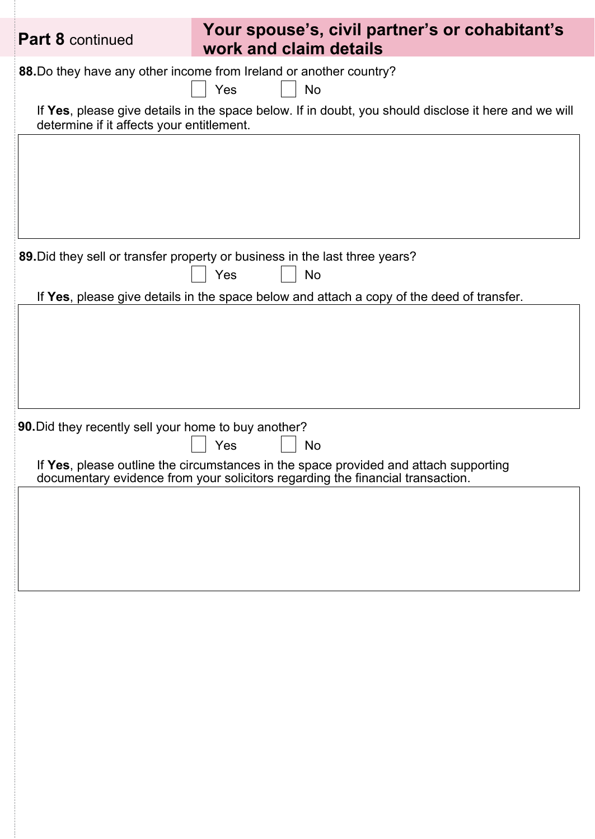| <b>Part 8 continued</b>                              | Your spouse's, civil partner's or cohabitant's<br>work and claim details                                                                                                            |
|------------------------------------------------------|-------------------------------------------------------------------------------------------------------------------------------------------------------------------------------------|
|                                                      | 88. Do they have any other income from Ireland or another country?                                                                                                                  |
| determine if it affects your entitlement.            | Yes<br>No<br>If Yes, please give details in the space below. If in doubt, you should disclose it here and we will                                                                   |
|                                                      |                                                                                                                                                                                     |
|                                                      |                                                                                                                                                                                     |
|                                                      |                                                                                                                                                                                     |
|                                                      | 89. Did they sell or transfer property or business in the last three years?<br>Yes<br>No                                                                                            |
|                                                      | If Yes, please give details in the space below and attach a copy of the deed of transfer.                                                                                           |
|                                                      |                                                                                                                                                                                     |
|                                                      |                                                                                                                                                                                     |
|                                                      |                                                                                                                                                                                     |
| 90. Did they recently sell your home to buy another? |                                                                                                                                                                                     |
|                                                      | Yes<br>No<br>If Yes, please outline the circumstances in the space provided and attach supporting<br>documentary evidence from your solicitors regarding the financial transaction. |
|                                                      |                                                                                                                                                                                     |
|                                                      |                                                                                                                                                                                     |
|                                                      |                                                                                                                                                                                     |
|                                                      |                                                                                                                                                                                     |
|                                                      |                                                                                                                                                                                     |
|                                                      |                                                                                                                                                                                     |
|                                                      |                                                                                                                                                                                     |
|                                                      |                                                                                                                                                                                     |
|                                                      |                                                                                                                                                                                     |
|                                                      |                                                                                                                                                                                     |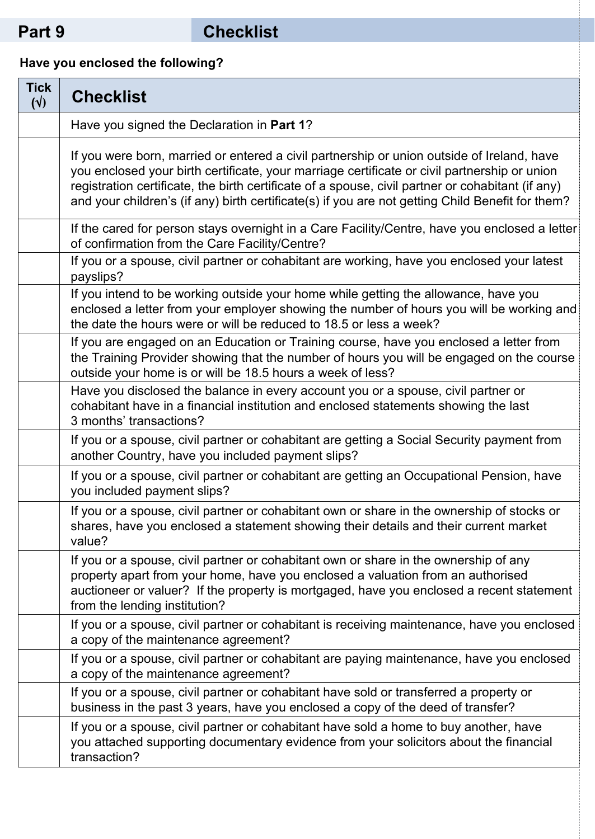# **Part 9 Checklist**

## **Have you enclosed the following?**

| <b>Tick</b><br>$(\sqrt{2})$ | <b>Checklist</b>                                                                                                                                                                                                                                                                                                                                                                                    |
|-----------------------------|-----------------------------------------------------------------------------------------------------------------------------------------------------------------------------------------------------------------------------------------------------------------------------------------------------------------------------------------------------------------------------------------------------|
|                             | Have you signed the Declaration in Part 1?                                                                                                                                                                                                                                                                                                                                                          |
|                             | If you were born, married or entered a civil partnership or union outside of Ireland, have<br>you enclosed your birth certificate, your marriage certificate or civil partnership or union<br>registration certificate, the birth certificate of a spouse, civil partner or cohabitant (if any)<br>and your children's (if any) birth certificate(s) if you are not getting Child Benefit for them? |
|                             | If the cared for person stays overnight in a Care Facility/Centre, have you enclosed a letter<br>of confirmation from the Care Facility/Centre?                                                                                                                                                                                                                                                     |
|                             | If you or a spouse, civil partner or cohabitant are working, have you enclosed your latest<br>payslips?                                                                                                                                                                                                                                                                                             |
|                             | If you intend to be working outside your home while getting the allowance, have you<br>enclosed a letter from your employer showing the number of hours you will be working and<br>the date the hours were or will be reduced to 18.5 or less a week?                                                                                                                                               |
|                             | If you are engaged on an Education or Training course, have you enclosed a letter from<br>the Training Provider showing that the number of hours you will be engaged on the course<br>outside your home is or will be 18.5 hours a week of less?                                                                                                                                                    |
|                             | Have you disclosed the balance in every account you or a spouse, civil partner or<br>cohabitant have in a financial institution and enclosed statements showing the last<br>3 months' transactions?                                                                                                                                                                                                 |
|                             | If you or a spouse, civil partner or cohabitant are getting a Social Security payment from<br>another Country, have you included payment slips?                                                                                                                                                                                                                                                     |
|                             | If you or a spouse, civil partner or cohabitant are getting an Occupational Pension, have<br>you included payment slips?                                                                                                                                                                                                                                                                            |
|                             | If you or a spouse, civil partner or cohabitant own or share in the ownership of stocks or<br>shares, have you enclosed a statement showing their details and their current market<br>value?                                                                                                                                                                                                        |
|                             | If you or a spouse, civil partner or cohabitant own or share in the ownership of any<br>property apart from your home, have you enclosed a valuation from an authorised<br>auctioneer or valuer? If the property is mortgaged, have you enclosed a recent statement<br>from the lending institution?                                                                                                |
|                             | If you or a spouse, civil partner or cohabitant is receiving maintenance, have you enclosed<br>a copy of the maintenance agreement?                                                                                                                                                                                                                                                                 |
|                             | If you or a spouse, civil partner or cohabitant are paying maintenance, have you enclosed<br>a copy of the maintenance agreement?                                                                                                                                                                                                                                                                   |
|                             | If you or a spouse, civil partner or cohabitant have sold or transferred a property or<br>business in the past 3 years, have you enclosed a copy of the deed of transfer?                                                                                                                                                                                                                           |
|                             | If you or a spouse, civil partner or cohabitant have sold a home to buy another, have<br>you attached supporting documentary evidence from your solicitors about the financial<br>transaction?                                                                                                                                                                                                      |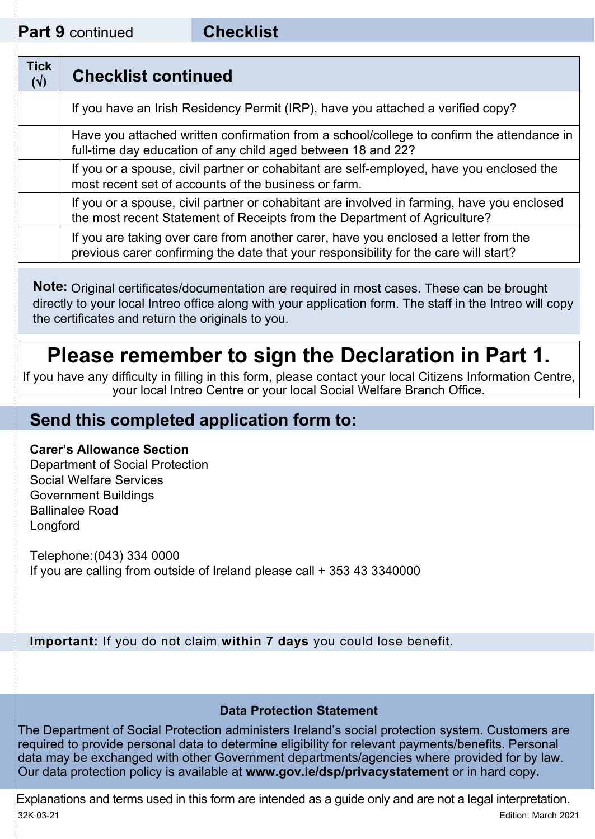### **Part 9 continued Checklist**

| <b>Tick</b><br>$(\sqrt{2})$ | <b>Checklist continued</b>                                                                                                                                                  |
|-----------------------------|-----------------------------------------------------------------------------------------------------------------------------------------------------------------------------|
|                             | If you have an Irish Residency Permit (IRP), have you attached a verified copy?                                                                                             |
|                             | Have you attached written confirmation from a school/college to confirm the attendance in<br>full-time day education of any child aged between 18 and 22?                   |
|                             | If you or a spouse, civil partner or cohabitant are self-employed, have you enclosed the<br>most recent set of accounts of the business or farm.                            |
|                             | If you or a spouse, civil partner or cohabitant are involved in farming, have you enclosed<br>the most recent Statement of Receipts from the Department of Agriculture?     |
|                             | If you are taking over care from another carer, have you enclosed a letter from the<br>previous carer confirming the date that your responsibility for the care will start? |

**Note:** Original certificates/documentation are required in most cases. These can be brought directly to your local Intreo office along with your application form. The staff in the Intreo will copy the certificates and return the originals to you.

# **Please remember to sign the Declaration in Part 1.**

If you have any difficulty in filling in this form, please contact your local Citizens Information Centre, your local Intreo Centre or your local Social Welfare Branch Office.

## **Send this completed application form to:**

### **Carer's Allowance Section**

Department of Social Protection Social Welfare Services Government Buildings Ballinalee Road Longford

Telephone:(043) 334 0000 If you are calling from outside of Ireland please call + 353 43 3340000

**Important:** If you do not claim **within 7 days** you could lose benefit.

### **Data Protection Statement**

The Department of Social Protection administers Ireland's social protection system. Customers are required to provide personal data to determine eligibility for relevant payments/benefits. Personal data may be exchanged with other Government departments/agencies where provided for by law. Our data protection policy is available at **www.gov.ie/dsp/privacystatement** or in hard copy**.**

32K 03-21 Edition: March 2021 Explanations and terms used in this form are intended as a guide only and are not a legal interpretation.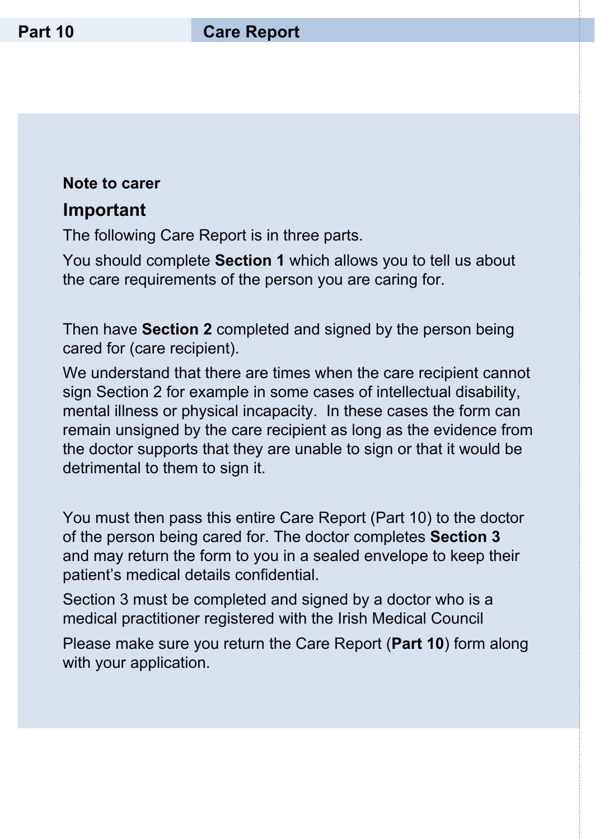## **Note to carer**

## **Important**

The following Care Report is in three parts.

You should complete **Section 1** which allows you to tell us about the care requirements of the person you are caring for.

Then have **Section 2** completed and signed by the person being cared for (care recipient).

We understand that there are times when the care recipient cannot sign Section 2 for example in some cases of intellectual disability, mental illness or physical incapacity. In these cases the form can remain unsigned by the care recipient as long as the evidence from the doctor supports that they are unable to sign or that it would be detrimental to them to sign it.

You must then pass this entire Care Report (Part 10) to the doctor of the person being cared for. The doctor completes **Section 3** and may return the form to you in a sealed envelope to keep their patient's medical details confidential.

Section 3 must be completed and signed by a doctor who is a medical practitioner registered with the Irish Medical Council

Please make sure you return the Care Report (**Part 10**) form along with your application.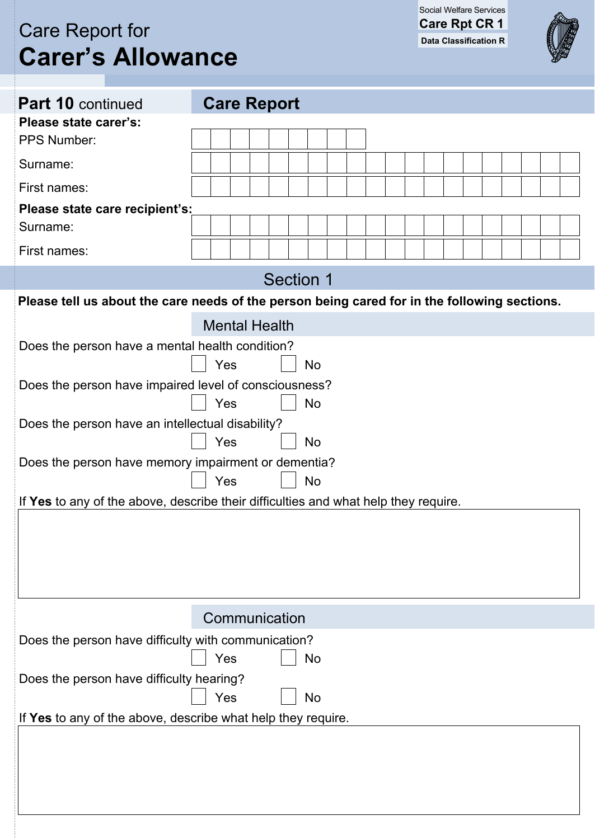# Care Report for **Carer's Allowance**

**Data Classification R** Social Welfare Services **Care Rpt CR 1**



| <b>Part 10 continued</b>                                                                     | <b>Care Report</b>   |           |           |  |  |  |  |  |  |  |
|----------------------------------------------------------------------------------------------|----------------------|-----------|-----------|--|--|--|--|--|--|--|
| Please state carer's:                                                                        |                      |           |           |  |  |  |  |  |  |  |
| PPS Number:                                                                                  |                      |           |           |  |  |  |  |  |  |  |
| Surname:                                                                                     |                      |           |           |  |  |  |  |  |  |  |
| First names:                                                                                 |                      |           |           |  |  |  |  |  |  |  |
| Please state care recipient's:                                                               |                      |           |           |  |  |  |  |  |  |  |
| Surname:                                                                                     |                      |           |           |  |  |  |  |  |  |  |
| First names:                                                                                 |                      |           |           |  |  |  |  |  |  |  |
|                                                                                              |                      | Section 1 |           |  |  |  |  |  |  |  |
| Please tell us about the care needs of the person being cared for in the following sections. |                      |           |           |  |  |  |  |  |  |  |
|                                                                                              | <b>Mental Health</b> |           |           |  |  |  |  |  |  |  |
| Does the person have a mental health condition?                                              |                      |           |           |  |  |  |  |  |  |  |
|                                                                                              | Yes                  |           | <b>No</b> |  |  |  |  |  |  |  |
| Does the person have impaired level of consciousness?                                        |                      |           |           |  |  |  |  |  |  |  |
|                                                                                              | Yes                  |           | <b>No</b> |  |  |  |  |  |  |  |
| Does the person have an intellectual disability?                                             |                      |           |           |  |  |  |  |  |  |  |
|                                                                                              | Yes                  |           | <b>No</b> |  |  |  |  |  |  |  |
| Does the person have memory impairment or dementia?                                          | Yes                  |           | No        |  |  |  |  |  |  |  |
| If Yes to any of the above, describe their difficulties and what help they require.          |                      |           |           |  |  |  |  |  |  |  |
|                                                                                              |                      |           |           |  |  |  |  |  |  |  |
|                                                                                              |                      |           |           |  |  |  |  |  |  |  |
|                                                                                              |                      |           |           |  |  |  |  |  |  |  |
|                                                                                              |                      |           |           |  |  |  |  |  |  |  |
|                                                                                              |                      |           |           |  |  |  |  |  |  |  |
|                                                                                              | Communication        |           |           |  |  |  |  |  |  |  |
| Does the person have difficulty with communication?                                          |                      |           |           |  |  |  |  |  |  |  |
|                                                                                              | Yes                  |           | No        |  |  |  |  |  |  |  |
| Does the person have difficulty hearing?                                                     |                      |           |           |  |  |  |  |  |  |  |
|                                                                                              | Yes                  |           | No        |  |  |  |  |  |  |  |
| If Yes to any of the above, describe what help they require.                                 |                      |           |           |  |  |  |  |  |  |  |
|                                                                                              |                      |           |           |  |  |  |  |  |  |  |
|                                                                                              |                      |           |           |  |  |  |  |  |  |  |
|                                                                                              |                      |           |           |  |  |  |  |  |  |  |
|                                                                                              |                      |           |           |  |  |  |  |  |  |  |
|                                                                                              |                      |           |           |  |  |  |  |  |  |  |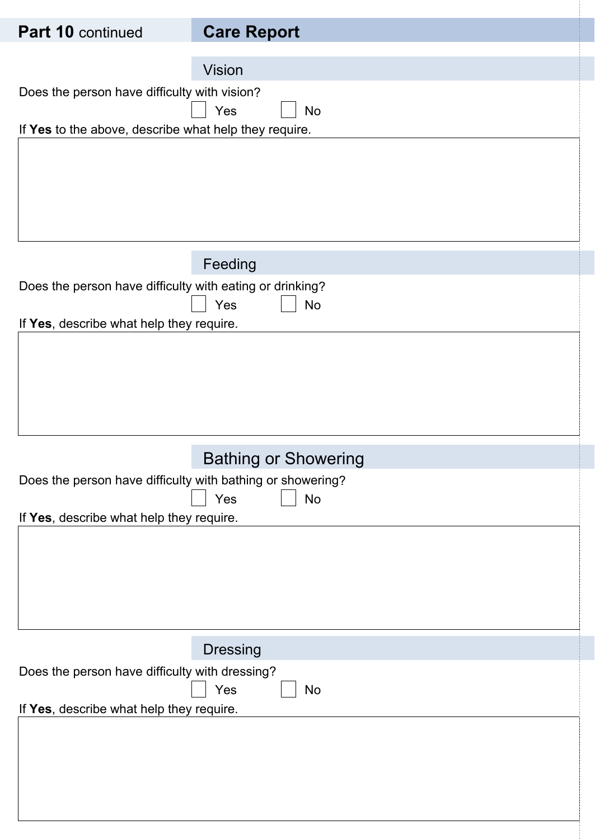| Part 10 continued                                          | <b>Care Report</b>          |
|------------------------------------------------------------|-----------------------------|
|                                                            |                             |
|                                                            | <b>Vision</b>               |
| Does the person have difficulty with vision?               | Yes<br><b>No</b>            |
| If Yes to the above, describe what help they require.      |                             |
|                                                            |                             |
|                                                            |                             |
|                                                            |                             |
|                                                            |                             |
|                                                            |                             |
|                                                            | Feeding                     |
| Does the person have difficulty with eating or drinking?   |                             |
|                                                            | Yes<br><b>No</b>            |
| If Yes, describe what help they require.                   |                             |
|                                                            |                             |
|                                                            |                             |
|                                                            |                             |
|                                                            |                             |
|                                                            |                             |
|                                                            | <b>Bathing or Showering</b> |
| Does the person have difficulty with bathing or showering? |                             |
|                                                            | No<br>Yes                   |
| If Yes, describe what help they require.                   |                             |
|                                                            |                             |
|                                                            |                             |
|                                                            |                             |
|                                                            |                             |
|                                                            | <b>Dressing</b>             |
| Does the person have difficulty with dressing?             |                             |
|                                                            | Yes<br>No                   |
| If Yes, describe what help they require.                   |                             |
|                                                            |                             |
|                                                            |                             |
|                                                            |                             |
|                                                            |                             |
|                                                            |                             |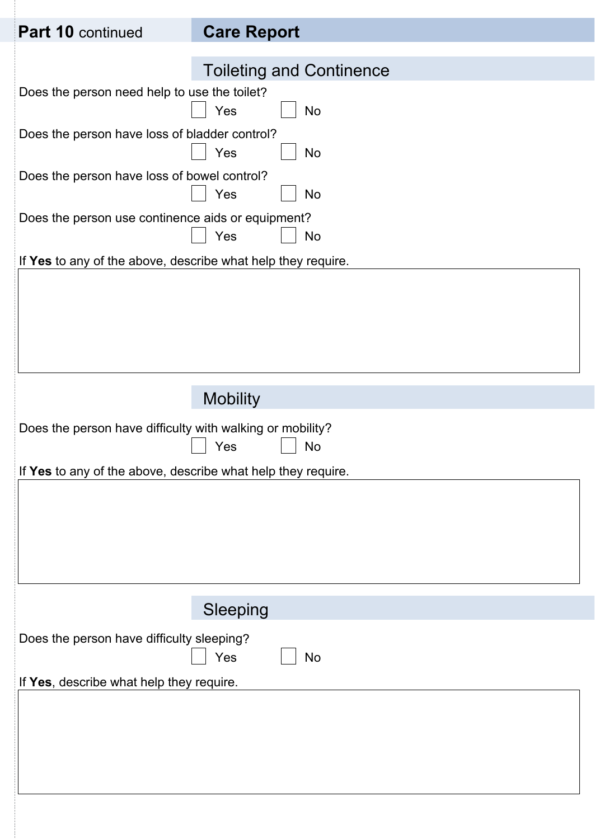| Part 10 continued                                            | <b>Care Report</b>              |
|--------------------------------------------------------------|---------------------------------|
|                                                              | <b>Toileting and Continence</b> |
| Does the person need help to use the toilet?                 |                                 |
| Does the person have loss of bladder control?                | Yes<br>No                       |
|                                                              | Yes<br>No                       |
| Does the person have loss of bowel control?                  | Yes<br>No                       |
| Does the person use continence aids or equipment?            | Yes<br>No                       |
| If Yes to any of the above, describe what help they require. |                                 |
|                                                              |                                 |
|                                                              |                                 |
|                                                              |                                 |
|                                                              | <b>Mobility</b>                 |
| Does the person have difficulty with walking or mobility?    | Yes<br>No                       |
| If Yes to any of the above, describe what help they require. |                                 |
|                                                              |                                 |
|                                                              |                                 |
|                                                              |                                 |
|                                                              | Sleeping                        |
| Does the person have difficulty sleeping?                    | Yes<br>No                       |
| If Yes, describe what help they require.                     |                                 |
|                                                              |                                 |
|                                                              |                                 |
|                                                              |                                 |
|                                                              |                                 |
|                                                              |                                 |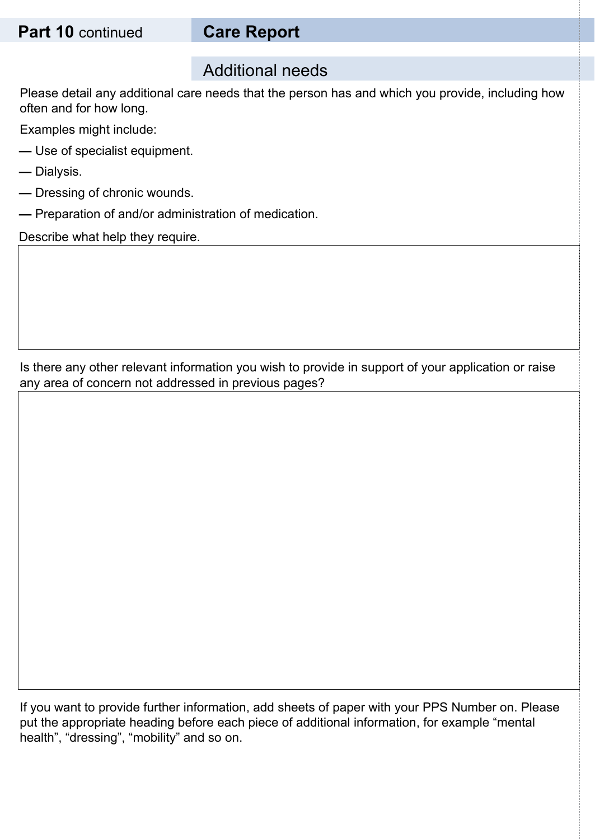### Additional needs

Please detail any additional care needs that the person has and which you provide, including how often and for how long.

Examples might include:

- **—** Use of specialist equipment.
- **—** Dialysis.
- **—** Dressing of chronic wounds.
- **—** Preparation of and/or administration of medication.

Describe what help they require.

Is there any other relevant information you wish to provide in support of your application or raise any area of concern not addressed in previous pages?

If you want to provide further information, add sheets of paper with your PPS Number on. Please put the appropriate heading before each piece of additional information, for example "mental health", "dressing", "mobility" and so on.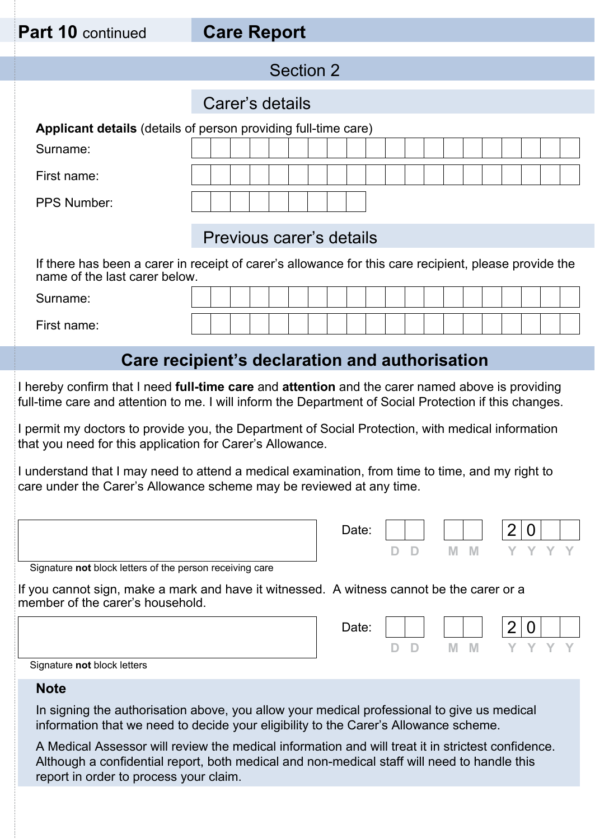|                                                          | <b>Section 2</b>                                                                                                                                                                                           |
|----------------------------------------------------------|------------------------------------------------------------------------------------------------------------------------------------------------------------------------------------------------------------|
|                                                          | Carer's details                                                                                                                                                                                            |
|                                                          | Applicant details (details of person providing full-time care)                                                                                                                                             |
| Surname:                                                 |                                                                                                                                                                                                            |
| First name:                                              |                                                                                                                                                                                                            |
|                                                          |                                                                                                                                                                                                            |
| <b>PPS Number:</b>                                       |                                                                                                                                                                                                            |
|                                                          | Previous carer's details                                                                                                                                                                                   |
| name of the last carer below.                            | If there has been a carer in receipt of carer's allowance for this care recipient, please provide the                                                                                                      |
| Surname:                                                 |                                                                                                                                                                                                            |
| First name:                                              |                                                                                                                                                                                                            |
|                                                          | Care recipient's declaration and authorisation                                                                                                                                                             |
|                                                          | I hereby confirm that I need full-time care and attention and the carer named above is providing<br>full-time care and attention to me. I will inform the Department of Social Protection if this changes. |
|                                                          | I permit my doctors to provide you, the Department of Social Protection, with medical information<br>that you need for this application for Carer's Allowance.                                             |
|                                                          | I understand that I may need to attend a medical examination, from time to time, and my right to<br>care under the Carer's Allowance scheme may be reviewed at any time.                                   |
|                                                          | Date:<br>M<br>M                                                                                                                                                                                            |
| Signature not block letters of the person receiving care |                                                                                                                                                                                                            |
| member of the carer's household.                         | If you cannot sign, make a mark and have it witnessed. A witness cannot be the carer or a                                                                                                                  |
|                                                          | Date:<br>$\mathbf{Z}$                                                                                                                                                                                      |
|                                                          |                                                                                                                                                                                                            |
| Signature not block letters                              |                                                                                                                                                                                                            |
| <b>Note</b>                                              |                                                                                                                                                                                                            |
|                                                          |                                                                                                                                                                                                            |

In signing the authorisation above, you allow your medical professional to give us medical information that we need to decide your eligibility to the Carer's Allowance scheme.

A Medical Assessor will review the medical information and will treat it in strictest confidence. Although a confidential report, both medical and non-medical staff will need to handle this report in order to process your claim.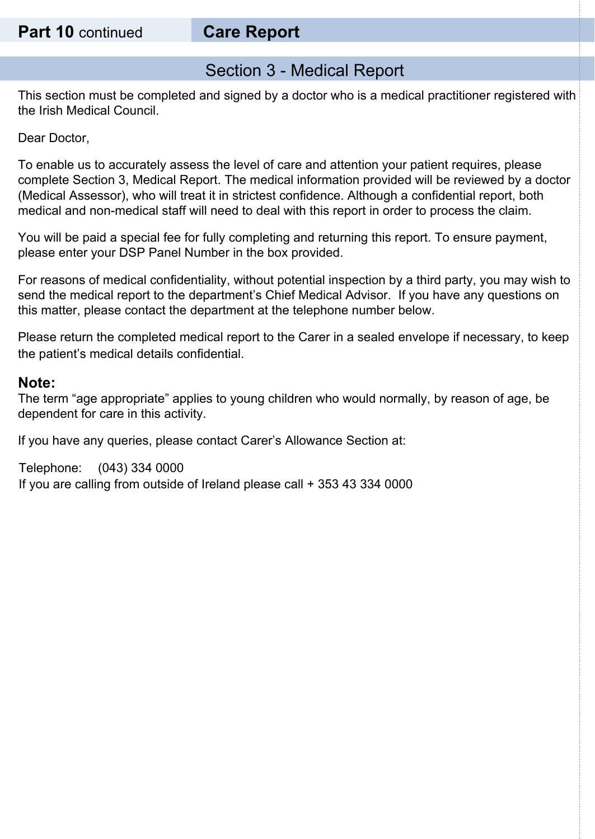### Section 3 - Medical Report

This section must be completed and signed by a doctor who is a medical practitioner registered with the Irish Medical Council.

Dear Doctor,

To enable us to accurately assess the level of care and attention your patient requires, please complete Section 3, Medical Report. The medical information provided will be reviewed by a doctor (Medical Assessor), who will treat it in strictest confidence. Although a confidential report, both medical and non-medical staff will need to deal with this report in order to process the claim.

You will be paid a special fee for fully completing and returning this report. To ensure payment, please enter your DSP Panel Number in the box provided.

For reasons of medical confidentiality, without potential inspection by a third party, you may wish to send the medical report to the department's Chief Medical Advisor. If you have any questions on this matter, please contact the department at the telephone number below.

Please return the completed medical report to the Carer in a sealed envelope if necessary, to keep the patient's medical details confidential.

### **Note:**

The term "age appropriate" applies to young children who would normally, by reason of age, be dependent for care in this activity.

If you have any queries, please contact Carer's Allowance Section at:

Telephone: (043) 334 0000 If you are calling from outside of Ireland please call + 353 43 334 0000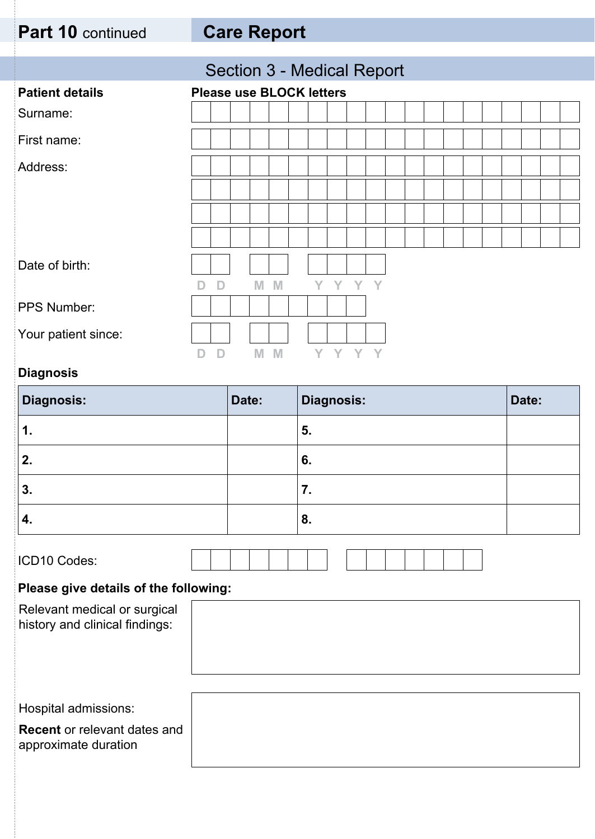| <b>Section 3 - Medical Report</b>                              |   |        |                                 |         |   |    |                   |         |  |  |  |  |       |  |
|----------------------------------------------------------------|---|--------|---------------------------------|---------|---|----|-------------------|---------|--|--|--|--|-------|--|
| <b>Patient details</b>                                         |   |        | <b>Please use BLOCK letters</b> |         |   |    |                   |         |  |  |  |  |       |  |
| Surname:                                                       |   |        |                                 |         |   |    |                   |         |  |  |  |  |       |  |
| First name:                                                    |   |        |                                 |         |   |    |                   |         |  |  |  |  |       |  |
| Address:                                                       |   |        |                                 |         |   |    |                   |         |  |  |  |  |       |  |
|                                                                |   |        |                                 |         |   |    |                   |         |  |  |  |  |       |  |
|                                                                |   |        |                                 |         |   |    |                   |         |  |  |  |  |       |  |
|                                                                |   |        |                                 |         |   |    |                   |         |  |  |  |  |       |  |
| Date of birth:                                                 |   |        |                                 |         |   |    |                   |         |  |  |  |  |       |  |
|                                                                | D | $\Box$ |                                 | M       | M |    |                   | Y Y Y Y |  |  |  |  |       |  |
| PPS Number:                                                    |   |        |                                 |         |   |    |                   |         |  |  |  |  |       |  |
| Your patient since:                                            |   |        |                                 |         |   |    |                   |         |  |  |  |  |       |  |
| <b>Diagnosis</b>                                               | D | $\Box$ |                                 | $M$ $M$ |   |    |                   | Y Y Y Y |  |  |  |  |       |  |
| <b>Diagnosis:</b>                                              |   |        | Date:                           |         |   |    | <b>Diagnosis:</b> |         |  |  |  |  | Date: |  |
| 1.                                                             |   |        |                                 |         |   | 5. |                   |         |  |  |  |  |       |  |
| 2.                                                             |   |        |                                 |         |   | 6. |                   |         |  |  |  |  |       |  |
| 3.                                                             |   |        |                                 |         |   | 7. |                   |         |  |  |  |  |       |  |
| $\boldsymbol{4}$                                               |   |        |                                 |         |   | 8. |                   |         |  |  |  |  |       |  |
| ICD10 Codes:                                                   |   |        |                                 |         |   |    |                   |         |  |  |  |  |       |  |
| Please give details of the following:                          |   |        |                                 |         |   |    |                   |         |  |  |  |  |       |  |
| Relevant medical or surgical<br>history and clinical findings: |   |        |                                 |         |   |    |                   |         |  |  |  |  |       |  |

Hospital admissions:

**Recent** or relevant dates and approximate duration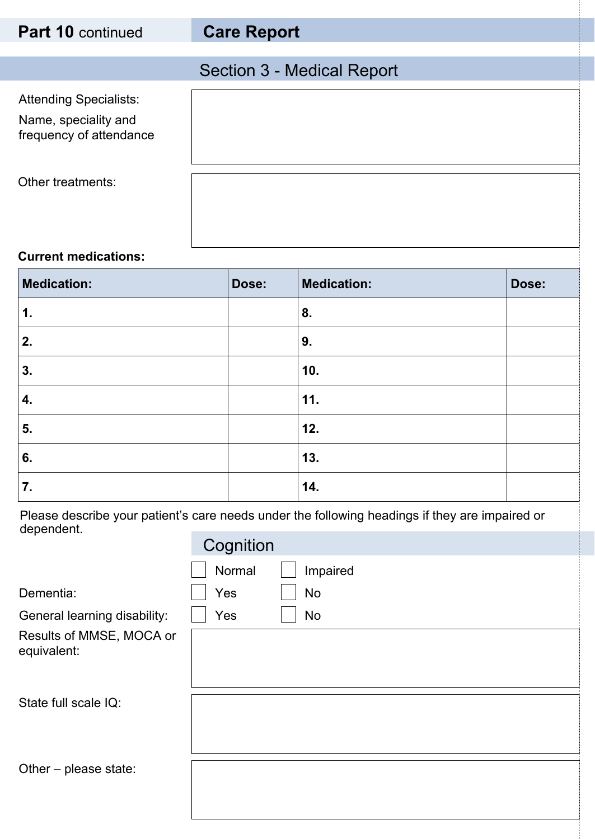|  | <b>Part 10 continued</b> |
|--|--------------------------|
|--|--------------------------|

**Care Report** 

|  | <b>Section 3 - Medical Report</b> |
|--|-----------------------------------|
|--|-----------------------------------|

Attending Specialists:

Name, speciality and frequency of attendance

Other treatments:

### **Current medications:**

| <b>Medication:</b> | Dose: | <b>Medication:</b> | Dose: |
|--------------------|-------|--------------------|-------|
| $\mathbf 1$ .      |       | 8.                 |       |
| 2.                 |       | 9.                 |       |
| 3.                 |       | 10.                |       |
| 4.                 |       | 11.                |       |
| 5.                 |       | 12.                |       |
| 6.                 |       | 13.                |       |
| 7.                 |       | 14.                |       |

Cognition Please describe your patient's care needs under the following headings if they are impaired or dependent.

|                                         | <b>UUUI</b> IIIIIIIIII |          |
|-----------------------------------------|------------------------|----------|
|                                         | Normal                 | Impaired |
| Dementia:                               | Yes                    | No       |
| General learning disability:            | Yes                    | No       |
| Results of MMSE, MOCA or<br>equivalent: |                        |          |
| State full scale IQ:                    |                        |          |
|                                         |                        |          |
| Other - please state:                   |                        |          |
|                                         |                        |          |
|                                         |                        |          |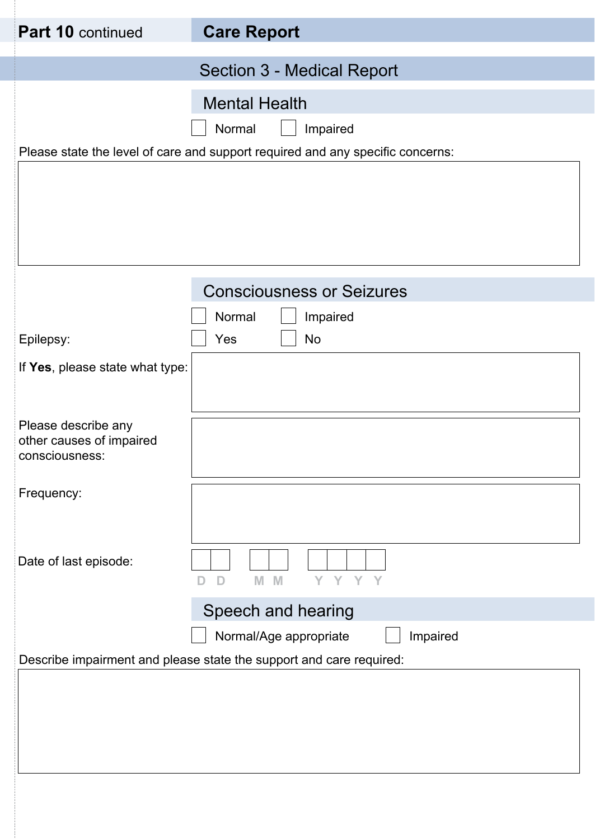| Part 10 continued                               | <b>Care Report</b>                                                             |
|-------------------------------------------------|--------------------------------------------------------------------------------|
|                                                 | <b>Section 3 - Medical Report</b>                                              |
|                                                 | <b>Mental Health</b>                                                           |
|                                                 | Normal<br>Impaired                                                             |
|                                                 | Please state the level of care and support required and any specific concerns: |
|                                                 |                                                                                |
|                                                 |                                                                                |
|                                                 |                                                                                |
|                                                 |                                                                                |
|                                                 | <b>Consciousness or Seizures</b>                                               |
|                                                 | Normal<br>Impaired<br>Yes<br><b>No</b>                                         |
| Epilepsy:                                       |                                                                                |
| If Yes, please state what type:                 |                                                                                |
|                                                 |                                                                                |
| Please describe any<br>other causes of impaired |                                                                                |
| consciousness:                                  |                                                                                |
| Frequency:                                      |                                                                                |
|                                                 |                                                                                |
| Date of last episode:                           |                                                                                |
|                                                 | Y Y Y<br>M<br>Y<br>M<br>D                                                      |
|                                                 | Speech and hearing                                                             |
|                                                 | Normal/Age appropriate<br>Impaired                                             |
|                                                 | Describe impairment and please state the support and care required:            |
|                                                 |                                                                                |
|                                                 |                                                                                |
|                                                 |                                                                                |
|                                                 |                                                                                |
|                                                 |                                                                                |
|                                                 |                                                                                |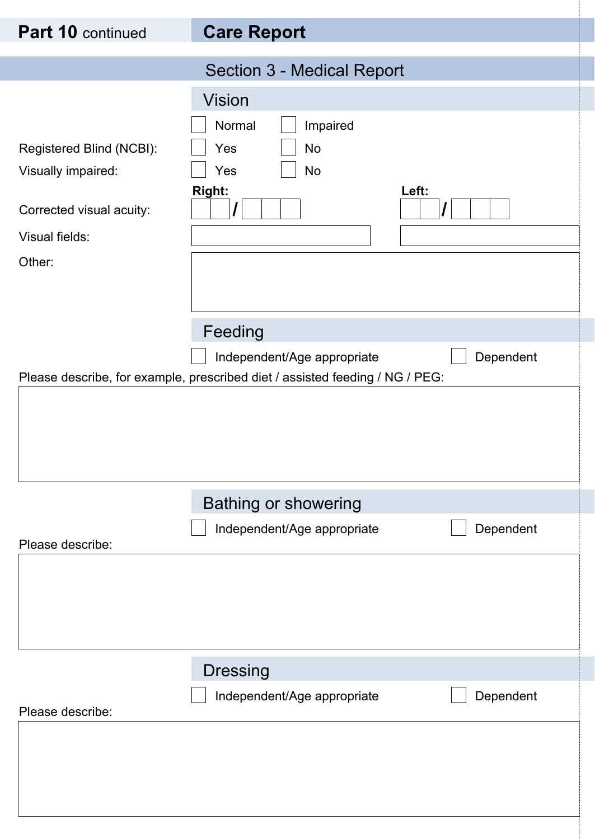|                            | <b>Care Report</b>          |           |  |
|----------------------------|-----------------------------|-----------|--|
| Section 3 - Medical Report |                             |           |  |
|                            | <b>Vision</b>               |           |  |
|                            | Normal<br>Impaired          |           |  |
| Registered Blind (NCBI):   | No<br>Yes                   |           |  |
| Visually impaired:         | Yes<br><b>No</b>            |           |  |
| Corrected visual acuity:   | <b>Right:</b>               | Left:     |  |
| Visual fields:             |                             |           |  |
| Other:                     |                             |           |  |
|                            |                             |           |  |
|                            | Feeding                     |           |  |
|                            | Independent/Age appropriate | Dependent |  |
|                            | <b>Bathing or showering</b> |           |  |
|                            | Independent/Age appropriate | Dependent |  |
| Please describe:           |                             |           |  |
|                            |                             |           |  |
|                            | <b>Dressing</b>             |           |  |
|                            | Independent/Age appropriate | Dependent |  |
| Please describe:           |                             |           |  |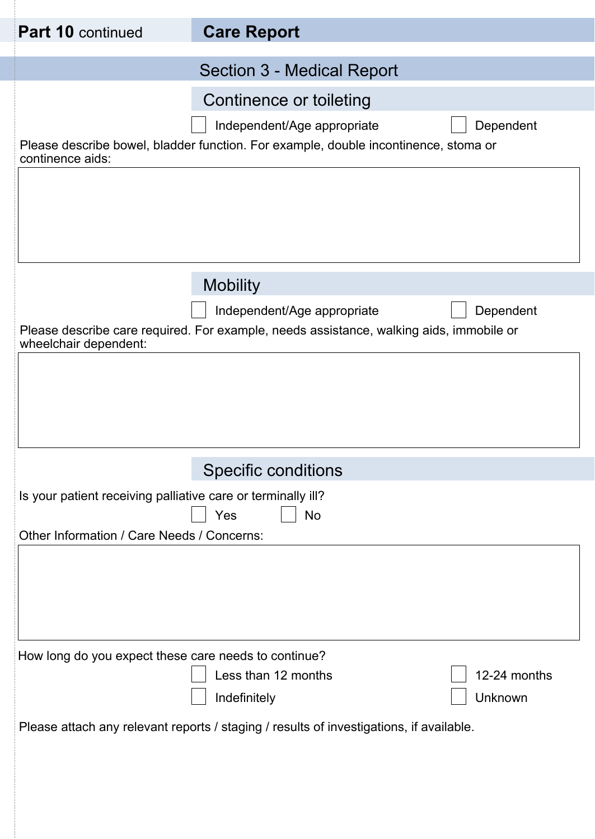| <b>Part 10 continued</b>                                                                                                                            | <b>Care Report</b>                                                                                                                  |  |  |  |  |
|-----------------------------------------------------------------------------------------------------------------------------------------------------|-------------------------------------------------------------------------------------------------------------------------------------|--|--|--|--|
| <b>Section 3 - Medical Report</b>                                                                                                                   |                                                                                                                                     |  |  |  |  |
|                                                                                                                                                     | Continence or toileting                                                                                                             |  |  |  |  |
| Dependent<br>Independent/Age appropriate<br>Please describe bowel, bladder function. For example, double incontinence, stoma or<br>continence aids: |                                                                                                                                     |  |  |  |  |
|                                                                                                                                                     |                                                                                                                                     |  |  |  |  |
| <b>Mobility</b>                                                                                                                                     |                                                                                                                                     |  |  |  |  |
|                                                                                                                                                     | Independent/Age appropriate<br>Dependent<br>Please describe care required. For example, needs assistance, walking aids, immobile or |  |  |  |  |
| wheelchair dependent:                                                                                                                               |                                                                                                                                     |  |  |  |  |
|                                                                                                                                                     |                                                                                                                                     |  |  |  |  |
|                                                                                                                                                     |                                                                                                                                     |  |  |  |  |
|                                                                                                                                                     | Specific conditions                                                                                                                 |  |  |  |  |
| Is your patient receiving palliative care or terminally ill?<br>Yes<br>No                                                                           |                                                                                                                                     |  |  |  |  |
| Other Information / Care Needs / Concerns:                                                                                                          |                                                                                                                                     |  |  |  |  |
|                                                                                                                                                     |                                                                                                                                     |  |  |  |  |
| How long do you expect these care needs to continue?                                                                                                |                                                                                                                                     |  |  |  |  |
|                                                                                                                                                     | 12-24 months<br>Less than 12 months<br>Indefinitely<br>Unknown                                                                      |  |  |  |  |
| Please attach any relevant reports / staging / results of investigations, if available.                                                             |                                                                                                                                     |  |  |  |  |
|                                                                                                                                                     |                                                                                                                                     |  |  |  |  |
|                                                                                                                                                     |                                                                                                                                     |  |  |  |  |
|                                                                                                                                                     |                                                                                                                                     |  |  |  |  |

i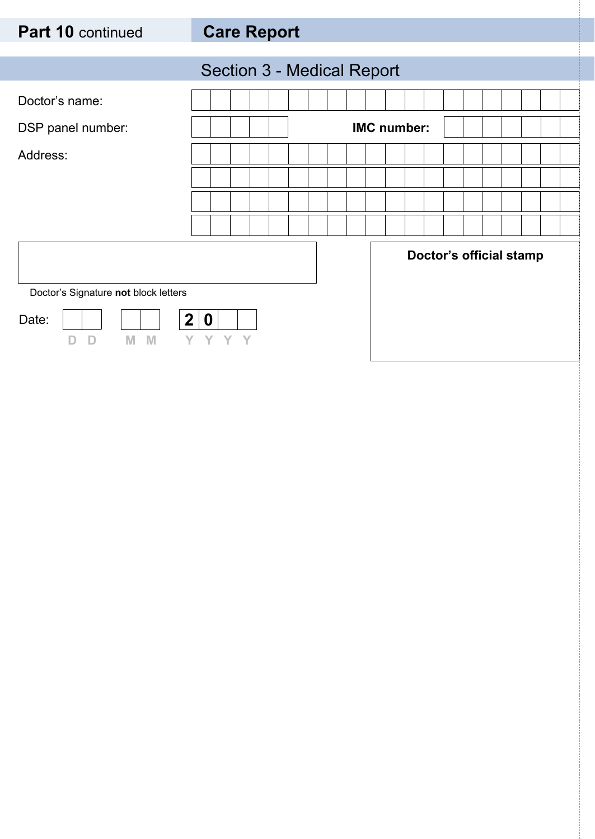| <b>Section 3 - Medical Report</b>    |             |                         |  |  |  |
|--------------------------------------|-------------|-------------------------|--|--|--|
| Doctor's name:                       |             |                         |  |  |  |
| DSP panel number:                    | IMC number: |                         |  |  |  |
| Address:                             |             |                         |  |  |  |
|                                      |             |                         |  |  |  |
|                                      |             |                         |  |  |  |
|                                      |             |                         |  |  |  |
|                                      |             | Doctor's official stamp |  |  |  |
| Doctor's Signature not block letters |             |                         |  |  |  |
| $\mathbf{2}$<br>Date:                | 0           |                         |  |  |  |
| M<br>M<br>D                          | Y<br>Y<br>Y |                         |  |  |  |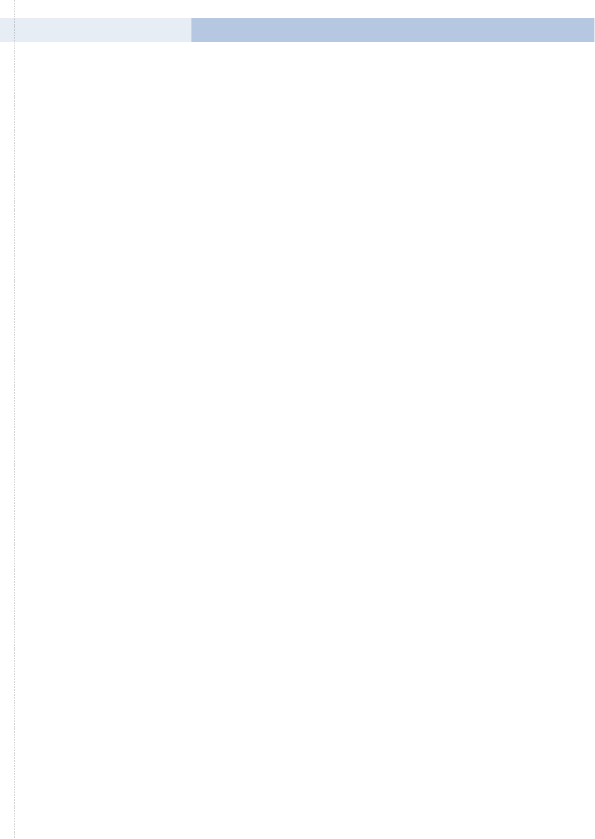